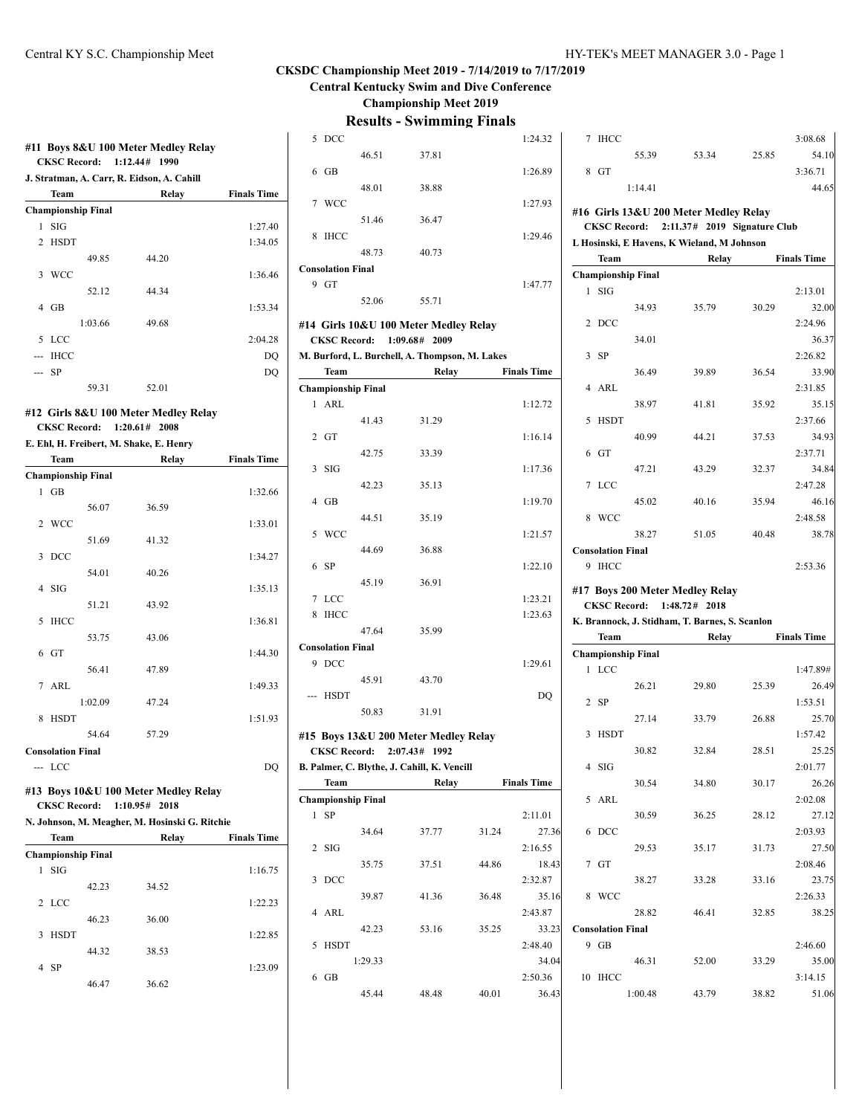#### **CKSDC Championship Meet 2019 - 7/14/2019 to 7/17/2019 Central Kentucky Swim and Dive Conference**

**Championship Meet 2019**

|   |                           |         | J. Stratman, A. Carr, R. Eidson, A. Cahill              |                    |
|---|---------------------------|---------|---------------------------------------------------------|--------------------|
|   | Team                      |         | Relay                                                   | <b>Finals Time</b> |
|   | <b>Championship Final</b> |         |                                                         |                    |
| 1 | SIG                       |         |                                                         | 1:27.40            |
|   | 2 HSDT                    |         |                                                         | 1:34.05            |
|   |                           | 49.85   | 44.20                                                   |                    |
|   | 3 WCC                     |         |                                                         | 1:36.46            |
|   |                           | 52.12   | 44.34                                                   |                    |
|   | $4$ GB                    |         |                                                         | 1:53.34            |
|   |                           | 1:03.66 | 49.68                                                   |                    |
|   | 5 LCC                     |         |                                                         | 2:04.28            |
|   | --- IHCC                  |         |                                                         | DQ                 |
|   | -- SP                     |         |                                                         | DQ                 |
|   |                           | 59.31   | 52.01                                                   |                    |
|   |                           |         |                                                         |                    |
|   |                           |         | #12 Girls 8&U 100 Meter Medley Relay                    |                    |
|   |                           |         | CKSC Record: 1:20.61# 2008                              |                    |
|   |                           |         | E. Ehl, H. Freibert, M. Shake, E. Henry                 |                    |
|   | Team                      |         | Relay                                                   | <b>Finals Time</b> |
|   | <b>Championship Final</b> |         |                                                         |                    |
| 1 | <b>GB</b>                 |         |                                                         | 1:32.66            |
|   |                           | 56.07   | 36.59                                                   |                    |
| 2 | WCC                       |         |                                                         | 1:33.01            |
|   |                           | 51.69   | 41.32                                                   |                    |
| 3 | DCC                       |         |                                                         | 1:34.27            |
|   |                           | 54.01   | 40.26                                                   |                    |
| 4 | SIG                       |         |                                                         | 1:35.13            |
|   |                           | 51.21   | 43.92                                                   |                    |
| 5 | <b>IHCC</b>               |         |                                                         | 1:36.81            |
|   |                           | 53.75   | 43.06                                                   |                    |
|   | $6$ GT                    |         |                                                         | 1:44.30            |
|   |                           | 56.41   | 47.89                                                   |                    |
|   |                           |         |                                                         |                    |
| 7 | ARL                       |         |                                                         | 1:49.33            |
|   |                           | 1:02.09 | 47.24                                                   |                    |
|   | <b>HSDT</b>               |         |                                                         | 1:51.93            |
| 8 |                           |         |                                                         |                    |
|   |                           | 54.64   | 57.29                                                   |                    |
|   | <b>Consolation Final</b>  |         |                                                         |                    |
|   | --- LCC                   |         |                                                         | DQ                 |
|   |                           |         |                                                         |                    |
|   | <b>CKSC Record:</b>       |         | #13 Boys 10&U 100 Meter Medley Relay<br>$1:10.95#$ 2018 |                    |
|   |                           |         | N. Johnson, M. Meagher, M. Hosinski G. Ritchie          |                    |
|   | Team                      |         | Relay                                                   | <b>Finals Time</b> |
|   |                           |         |                                                         |                    |
| 1 | <b>Championship Final</b> |         |                                                         |                    |
|   | SIG                       |         |                                                         | 1:16.75            |
|   |                           | 42.23   | 34.52                                                   |                    |
| 2 | <b>LCC</b>                |         |                                                         | 1:22.23            |
|   |                           | 46.23   | 36.00                                                   |                    |
| 3 | <b>HSDT</b>               |         |                                                         | 1:22.85            |
|   |                           | 44.32   | 38.53                                                   |                    |
| 4 | -SP                       |         |                                                         | 1:23.09            |
|   |                           | 46.47   | 36.62                                                   |                    |

|                | 5 DCC                    |                           |                                                |       | 1:24.32            |
|----------------|--------------------------|---------------------------|------------------------------------------------|-------|--------------------|
|                |                          | 46.51                     | 37.81                                          |       |                    |
| 6              | GB                       |                           |                                                |       | 1:26.89            |
|                |                          | 48.01                     | 38.88                                          |       |                    |
|                | 7 WCC                    |                           |                                                |       | 1:27.93            |
|                |                          | 51.46                     | 36.47                                          |       |                    |
| 8              | IHCC                     |                           |                                                |       | 1:29.46            |
|                |                          | 48.73                     | 40.73                                          |       |                    |
|                | <b>Consolation Final</b> |                           |                                                |       |                    |
|                | $9$ GT                   |                           |                                                |       | 1:47.77            |
|                |                          | 52.06                     | 55.71                                          |       |                    |
|                |                          |                           | #14 Girls 10&U 100 Meter Medley Relay          |       |                    |
|                |                          |                           | CKSC Record: 1:09.68# 2009                     |       |                    |
|                |                          |                           | M. Burford, L. Burchell, A. Thompson, M. Lakes |       |                    |
|                | Team                     |                           | Relay                                          |       | <b>Finals Time</b> |
|                |                          | <b>Championship Final</b> |                                                |       |                    |
|                | 1 ARL                    |                           |                                                |       | 1:12.72            |
|                |                          | 41.43                     | 31.29                                          |       |                    |
|                | $2$ GT                   |                           |                                                |       | 1:16.14            |
|                |                          | 42.75                     | 33.39                                          |       |                    |
| 3              | SIG                      |                           |                                                |       | 1:17.36            |
|                |                          | 42.23                     | 35.13                                          |       |                    |
| $\overline{4}$ | <b>GB</b>                |                           |                                                |       | 1:19.70            |
|                |                          | 44.51                     | 35.19                                          |       |                    |
|                | 5 WCC                    |                           |                                                |       | 1:21.57            |
|                |                          | 44.69                     | 36.88                                          |       |                    |
| 6              | SP                       |                           |                                                |       | 1:22.10            |
|                |                          | 45.19                     | 36.91                                          |       |                    |
|                | 7 LCC                    |                           |                                                |       | 1:23.21            |
|                | 8 IHCC                   |                           |                                                |       | 1:23.63            |
|                |                          | 47.64                     | 35.99                                          |       |                    |
|                | <b>Consolation Final</b> |                           |                                                |       |                    |
|                | 9 DCC                    |                           |                                                |       | 1:29.61            |
|                |                          | 45.91                     | 43.70                                          |       |                    |
|                | --- HSDT                 |                           |                                                |       | DQ                 |
|                |                          | 50.83                     | 31.91                                          |       |                    |
|                |                          |                           | #15 Boys 13&U 200 Meter Medley Relay           |       |                    |
|                |                          |                           | CKSC Record: 2:07.43# 1992                     |       |                    |
|                |                          |                           | B. Palmer, C. Blythe, J. Cahill, K. Vencill    |       |                    |
|                | <b>Team</b>              |                           | Relay                                          |       | <b>Finals Time</b> |
|                |                          | <b>Championship Final</b> |                                                |       |                    |
| 1              | SP                       |                           |                                                |       | 2:11.01            |
|                |                          | 34.64                     | 37.77                                          | 31.24 | 27.36              |
| 2              | <b>SIG</b>               |                           |                                                |       | 2:16.55            |
|                |                          | 35.75                     | 37.51                                          | 44.86 | 18.43              |
| 3              | DCC                      |                           |                                                |       | 2:32.87            |
|                |                          | 39.87                     | 41.36                                          | 36.48 | 35.16              |
| $\overline{4}$ | ARL                      |                           |                                                |       | 2:43.87            |
|                |                          | 42.23                     | 53.16                                          | 35.25 | 33.23              |
| 5              | <b>HSDT</b>              |                           |                                                |       | 2:48.40            |
|                |                          | 1:29.33                   |                                                |       | 34.04              |
| 6              | GB                       |                           |                                                |       | 2:50.36            |
|                |                          | 45.44                     | 48.48                                          | 40.01 | 36.43              |
|                |                          |                           |                                                |       |                    |

| 7                               | <b>IHCC</b>              |                           |                                                |       | 3:08.68            |  |
|---------------------------------|--------------------------|---------------------------|------------------------------------------------|-------|--------------------|--|
|                                 |                          | 55.39                     | 53.34                                          | 25.85 | 54.10              |  |
| 8                               | GT                       |                           |                                                |       | 3:36.71            |  |
|                                 |                          | 1:14.41                   |                                                |       | 44.65              |  |
|                                 |                          |                           |                                                |       |                    |  |
|                                 |                          |                           | #16 Girls 13&U 200 Meter Medley Relay          |       |                    |  |
|                                 |                          |                           | CKSC Record: 2:11.37# 2019 Signature Club      |       |                    |  |
|                                 |                          |                           | L Hosinski, E Havens, K Wieland, M Johnson     |       |                    |  |
|                                 | <b>Team</b>              |                           | Relay                                          |       | <b>Finals Time</b> |  |
|                                 |                          | <b>Championship Final</b> |                                                |       |                    |  |
|                                 | $1$ SIG                  |                           |                                                |       | 2:13.01            |  |
|                                 |                          | 34.93                     | 35.79                                          | 30.29 | 32.00              |  |
| 2                               | <b>DCC</b>               |                           |                                                |       | 2:24.96            |  |
|                                 |                          | 34.01                     |                                                |       | 36.37              |  |
| 3                               | <b>SP</b>                |                           |                                                |       | 2:26.82            |  |
|                                 |                          | 36.49                     | 39.89                                          | 36.54 | 33.90              |  |
| 4                               | ARL                      |                           |                                                |       | 2:31.85            |  |
|                                 |                          | 38.97                     | 41.81                                          | 35.92 | 35.15              |  |
| 5                               | <b>HSDT</b>              |                           |                                                |       | 2:37.66            |  |
|                                 |                          | 40.99                     | 44.21                                          | 37.53 | 34.93              |  |
|                                 | 6 <sub>GT</sub>          |                           |                                                |       | 2:37.71            |  |
|                                 |                          |                           |                                                |       |                    |  |
|                                 |                          | 47.21                     | 43.29                                          | 32.37 | 34.84              |  |
| 7                               | <b>LCC</b>               |                           |                                                |       | 2:47.28            |  |
|                                 |                          | 45.02                     | 40.16                                          | 35.94 | 46.16              |  |
| 8                               | <b>WCC</b>               |                           |                                                |       | 2:48.58            |  |
|                                 |                          | 38.27                     | 51.05                                          | 40.48 | 38.78              |  |
|                                 | <b>Consolation Final</b> |                           |                                                |       |                    |  |
|                                 | 9 IHCC                   |                           |                                                |       | 2:53.36            |  |
| #17 Boys 200 Meter Medley Relay |                          |                           |                                                |       |                    |  |
|                                 |                          |                           |                                                |       |                    |  |
|                                 | <b>CKSC Record:</b>      |                           | 1:48.72# 2018                                  |       |                    |  |
|                                 |                          |                           | K. Brannock, J. Stidham, T. Barnes, S. Scanlon |       |                    |  |
|                                 | Team                     |                           | Relay                                          |       | <b>Finals Time</b> |  |
|                                 |                          | <b>Championship Final</b> |                                                |       |                    |  |
|                                 | 1 LCC                    |                           |                                                |       | 1:47.89#           |  |
|                                 |                          | 26.21                     | 29.80                                          | 25.39 | 26.49              |  |
|                                 | $2$ SP                   |                           |                                                |       | 1:53.51            |  |
|                                 |                          | 27.14                     | 33.79                                          | 26.88 | 25.70              |  |
| 3                               | <b>HSDT</b>              |                           |                                                |       | 1:57.42            |  |
|                                 |                          | 30.82                     | 32.84                                          | 28.51 | 25.25              |  |
|                                 | $4$ SIG                  |                           |                                                |       | 2:01.77            |  |
|                                 |                          | 30.54                     | 34.80                                          | 30.17 | 26.26              |  |
| 5                               | ARL                      |                           |                                                |       | 2:02.08            |  |
|                                 |                          | 30.59                     | 36.25                                          | 28.12 | 27.12              |  |
| 6                               | DCC                      |                           |                                                |       | 2:03.93            |  |
|                                 |                          | 29.53                     | 35.17                                          | 31.73 | 27.50              |  |
|                                 | 7 GT                     |                           |                                                |       | 2:08.46            |  |
|                                 |                          | 38.27                     | 33.28                                          | 33.16 | 23.75              |  |
| 8                               | <b>WCC</b>               |                           |                                                |       | 2:26.33            |  |
|                                 |                          | 28.82                     | 46.41                                          | 32.85 | 38.25              |  |
|                                 | <b>Consolation Final</b> |                           |                                                |       |                    |  |
|                                 | $9$ GB                   |                           |                                                |       | 2:46.60            |  |
|                                 |                          | 46.31                     | 52.00                                          | 33.29 | 35.00              |  |
| 10                              | <b>IHCC</b>              |                           |                                                |       | 3:14.15            |  |
|                                 |                          |                           |                                                |       |                    |  |
|                                 |                          | 1:00.48                   | 43.79                                          | 38.82 | 51.06              |  |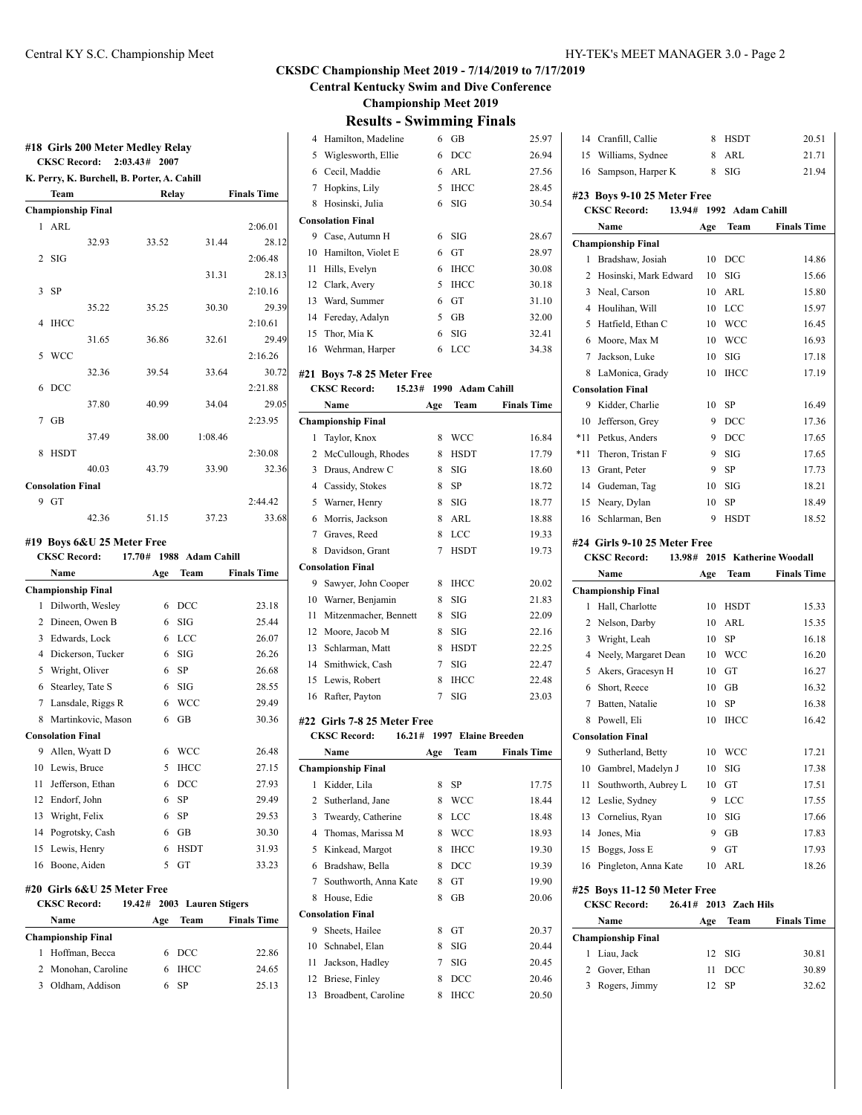**Central Kentucky Swim and Dive Conference**

**Championship Meet 2019**

|  | <b>Results - Swimming Finals</b> |  |
|--|----------------------------------|--|
|--|----------------------------------|--|

|                |                           | <b>CKSC Record:</b>                         | 2:03.43#<br>2007 |                         |                    |
|----------------|---------------------------|---------------------------------------------|------------------|-------------------------|--------------------|
|                |                           | K. Perry, K. Burchell, B. Porter, A. Cahill |                  |                         |                    |
|                | Team                      |                                             | Relay            |                         | <b>Finals Time</b> |
|                | <b>Championship Final</b> |                                             |                  |                         |                    |
| 1              | ARL                       |                                             |                  |                         | 2:06.01            |
|                |                           | 32.93                                       | 33.52            | 31.44                   | 28.12              |
| $\overline{2}$ | SIG                       |                                             |                  |                         | 2:06.48            |
|                |                           |                                             |                  | 31.31                   | 28.13              |
| 3              | <b>SP</b>                 |                                             |                  |                         | 2:10.16            |
|                |                           | 35.22                                       | 35.25            | 30.30                   | 29.39              |
| $\overline{4}$ | <b>IHCC</b>               |                                             |                  |                         | 2:10.61            |
|                |                           | 31.65                                       | 36.86            | 32.61                   | 29.49              |
| 5              | <b>WCC</b>                |                                             |                  |                         | 2:16.26            |
|                |                           | 32.36                                       | 39.54            | 33.64                   | 30.72              |
| 6              | DCC                       |                                             |                  |                         | 2:21.88            |
|                |                           | 37.80                                       | 40.99            | 34.04                   | 29.05              |
| 7              | GB                        |                                             |                  |                         | 2:23.95            |
|                |                           | 37.49                                       | 38.00            | 1:08.46                 |                    |
| 8              | <b>HSDT</b>               |                                             |                  |                         | 2:30.08            |
|                |                           | 40.03                                       | 43.79            | 33.90                   | 32.36              |
|                | <b>Consolation Final</b>  |                                             |                  |                         |                    |
|                | 9 GT                      |                                             |                  |                         | 2:44.42            |
|                |                           | 42.36                                       | 51.15            |                         | 33.68              |
|                |                           |                                             |                  | 37.23                   |                    |
|                |                           | #19 Boys 6&U 25 Meter Free                  |                  |                         |                    |
|                | <b>CKSC Record:</b>       |                                             |                  | 17.70# 1988 Adam Cahill |                    |
|                | Name                      |                                             | Age              | Team                    | <b>Finals Time</b> |
|                | Championship Final        |                                             |                  |                         |                    |
| $\mathbf{1}$   |                           | Dilworth, Wesley                            | 6                | DCC                     | 23.18              |
|                |                           | 2 Dineen, Owen B                            | 6                | SIG                     | 25.44              |
| 3              | Edwards, Lock             |                                             | 6                | <b>LCC</b>              | 26.07              |
| $\overline{4}$ |                           | Dickerson, Tucker                           | 6                | SIG                     | 26.26              |
| 5              | Wright, Oliver            |                                             | 6                | SP                      | 26.68              |
| 6              | Stearley, Tate S          |                                             | 6                | SIG                     | 28.55              |
| 7              |                           | Lansdale, Riggs R                           | 6                | <b>WCC</b>              | 29.49              |
|                |                           | 8 Martinkovic, Mason                        | 6                | <b>GB</b>               | 30.36              |
|                | <b>Consolation Final</b>  |                                             |                  |                         |                    |
|                | 9 Allen, Wyatt D          |                                             | 6                | <b>WCC</b>              | 26.48              |
| 10             |                           |                                             | 5                | <b>IHCC</b>             |                    |
| 11             | Lewis, Bruce              | Jefferson, Ethan                            | 6                | DCC                     | 27.15<br>27.93     |
| 12             | Endorf, John              |                                             | 6                | SP                      | 29.49              |
|                |                           |                                             |                  |                         |                    |
| 13             | Wright, Felix             |                                             | 6                | SP                      | 29.53              |
| 14             |                           | Pogrotsky, Cash                             | 6                | GB                      | 30.30              |
| 15             | Lewis, Henry              |                                             | 6                | HSDT                    | 31.93              |
| 16             | Boone, Aiden              |                                             | 5                | GT                      | 33.23              |
|                |                           | #20  Girls 6&U 25 Meter Free                |                  |                         |                    |
|                | <b>CKSC Record:</b>       |                                             | 19.42#           | 2003 Lauren Stigers     |                    |
|                | Name                      |                                             | Age              | Team                    | <b>Finals Time</b> |
|                | Championship Final        |                                             |                  |                         |                    |
|                |                           |                                             |                  |                         |                    |
| 1              |                           | Hoffman, Becca                              | 6                | $_{\text{DCC}}$         | 22.86              |
| 2              |                           | Monohan, Caroline                           | 6                | <b>IHCC</b>             | 24.65              |

| $\overline{4}$                                 | Hamilton, Madeline          | 6   | GB                         | 25.97              |  |  |  |
|------------------------------------------------|-----------------------------|-----|----------------------------|--------------------|--|--|--|
| 5                                              | Wiglesworth, Ellie          | 6   | DCC                        | 26.94              |  |  |  |
| 6                                              | Cecil, Maddie               | 6   | ARL                        | 27.56              |  |  |  |
| 7                                              | Hopkins, Lily               | 5   | <b>IHCC</b>                | 28.45              |  |  |  |
| 8                                              | Hosinski, Julia             | 6   | <b>SIG</b>                 | 30.54              |  |  |  |
|                                                | <b>Consolation Final</b>    |     |                            |                    |  |  |  |
| 9                                              | Case, Autumn H              | 6   | SIG                        | 28.67              |  |  |  |
| 10                                             | Hamilton, Violet E          | 6   | GT                         | 28.97              |  |  |  |
| 11                                             | Hills, Evelyn               | 6   | <b>IHCC</b>                | 30.08              |  |  |  |
|                                                | 12 Clark, Avery             | 5   | <b>IHCC</b>                | 30.18              |  |  |  |
| 13                                             | Ward, Summer                | 6   | GT                         | 31.10              |  |  |  |
| 14                                             | Fereday, Adalyn             | 5   | GB                         | 32.00              |  |  |  |
| 15                                             | Thor, Mia K                 | 6   | SIG                        | 32.41              |  |  |  |
| 16                                             |                             | 6   | LCC                        | 34.38              |  |  |  |
|                                                | Wehrman, Harper             |     |                            |                    |  |  |  |
|                                                | #21 Boys 7-8 25 Meter Free  |     |                            |                    |  |  |  |
| <b>CKSC Record:</b><br>15.23# 1990 Adam Cahill |                             |     |                            |                    |  |  |  |
|                                                | Name                        | Age | Team                       | <b>Finals Time</b> |  |  |  |
|                                                | <b>Championship Final</b>   |     |                            |                    |  |  |  |
| 1                                              | Taylor, Knox                | 8   | <b>WCC</b>                 | 16.84              |  |  |  |
|                                                | 2 McCullough, Rhodes        | 8   | HSDT                       | 17.79              |  |  |  |
|                                                | 3 Draus, Andrew C           | 8   | SIG                        | 18.60              |  |  |  |
|                                                | 4 Cassidy, Stokes           | 8   | <b>SP</b>                  | 18.72              |  |  |  |
| 5                                              | Warner, Henry               | 8   | SIG                        | 18.77              |  |  |  |
| 6                                              | Morris, Jackson             | 8   | ARL                        | 18.88              |  |  |  |
|                                                | 7 Graves, Reed              | 8   | LCC                        | 19.33              |  |  |  |
| 8                                              | Davidson, Grant             | 7   | <b>HSDT</b>                | 19.73              |  |  |  |
|                                                | <b>Consolation Final</b>    |     |                            |                    |  |  |  |
| 9                                              | Sawyer, John Cooper         | 8   | <b>IHCC</b>                | 20.02              |  |  |  |
|                                                | 10 Warner, Benjamin         | 8   | SIG                        | 21.83              |  |  |  |
| 11                                             | Mitzenmacher, Bennett       | 8   | SIG                        | 22.09              |  |  |  |
| 12                                             | Moore, Jacob M              | 8   | SIG                        | 22.16              |  |  |  |
| 13                                             | Schlarman, Matt             | 8   | <b>HSDT</b>                | 22.25              |  |  |  |
|                                                | 14 Smithwick, Cash          | 7   | SIG                        | 22.47              |  |  |  |
| 15                                             | Lewis, Robert               | 8   | <b>IHCC</b>                | 22.48              |  |  |  |
| 16                                             | Rafter, Payton              | 7   | <b>SIG</b>                 | 23.03              |  |  |  |
|                                                |                             |     |                            |                    |  |  |  |
|                                                | #22 Girls 7-8 25 Meter Free |     |                            |                    |  |  |  |
|                                                | <b>CKSC Record:</b>         |     | 16.21# 1997 Elaine Breeden |                    |  |  |  |
|                                                | Name                        | Age | Team                       | <b>Finals Time</b> |  |  |  |
|                                                | <b>Championship Final</b>   |     |                            |                    |  |  |  |
| 1                                              | Kidder, Lila                | 8   | SP                         | 17.75              |  |  |  |
| 2                                              | Sutherland, Jane            | 8   | <b>WCC</b>                 | 18.44              |  |  |  |
| 3                                              | Tweardy, Catherine          | 8   | LCC                        | 18.48              |  |  |  |
| $\overline{4}$                                 | Thomas, Marissa M           | 8   | WCC                        | 18.93              |  |  |  |
| 5                                              | Kinkead, Margot             | 8   | <b>IHCC</b>                | 19.30              |  |  |  |
| 6                                              | Bradshaw, Bella             | 8   | DCC                        | 19.39              |  |  |  |
| 7                                              | Southworth, Anna Kate       | 8   | GT                         | 19.90              |  |  |  |
| 8                                              | House, Edie                 | 8   | GВ                         | 20.06              |  |  |  |
|                                                | <b>Consolation Final</b>    |     |                            |                    |  |  |  |
| 9                                              | Sheets, Hailee              | 8   | GT                         | 20.37              |  |  |  |
| 10                                             | Schnabel, Elan              | 8   | SIG                        | 20.44              |  |  |  |
| 11                                             | Jackson, Hadley             | 7   | SIG                        | 20.45              |  |  |  |
| 12                                             | Briese, Finley              | 8   | $_{\rm DCC}$               | 20.46              |  |  |  |
| 13                                             | Broadbent, Caroline         | 8   | <b>IHCC</b>                | 20.50              |  |  |  |
|                                                |                             |     |                            |                    |  |  |  |

| 14     | Cranfill, Callie                                             | 8        | HSDT             | 20.51                  |
|--------|--------------------------------------------------------------|----------|------------------|------------------------|
| 15     | Williams, Sydnee                                             | 8        | ARL              | 21.71                  |
| 16     | Sampson, Harper K                                            | 8        | SIG              | 21.94                  |
|        |                                                              |          |                  |                        |
|        | #23 Boys 9-10 25 Meter Free<br><b>CKSC Record:</b><br>13.94# |          | 1992 Adam Cahill |                        |
|        | Name                                                         | Age      | Team             | <b>Finals Time</b>     |
|        | <b>Championship Final</b>                                    |          |                  |                        |
| 1      | Bradshaw, Josiah                                             | 10       | DCC              | 14.86                  |
| 2      | Hosinski, Mark Edward                                        | 10       | SIG              | 15.66                  |
| 3      | Neal, Carson                                                 | 10       | ARL              | 15.80                  |
| 4      | Houlihan, Will                                               | 10       | LCC              | 15.97                  |
| 5      | Hatfield, Ethan C                                            | 10       | <b>WCC</b>       | 16.45                  |
| 6      | Moore, Max M                                                 | 10       | <b>WCC</b>       | 16.93                  |
|        |                                                              |          | SIG              | 17.18                  |
| 7      | Jackson, Luke                                                | 10       |                  |                        |
| 8      | LaMonica, Grady                                              | 10       | <b>IHCC</b>      | 17.19                  |
|        | <b>Consolation Final</b>                                     |          |                  |                        |
| 9      | Kidder, Charlie                                              | 10       | SP               | 16.49                  |
| 10     | Jefferson, Grey                                              | 9        | DCC              | 17.36                  |
| $*11$  | Petkus, Anders                                               | 9        | DCC              | 17.65                  |
| $*11$  | Theron, Tristan F                                            | 9        | SIG              | 17.65                  |
| 13     | Grant, Peter                                                 | 9        | SP               | 17.73                  |
| 14     | Gudeman, Tag                                                 | 10       | SIG              | 18.21                  |
| 15     | Neary, Dylan                                                 | 10       | SP               | 18.49                  |
| 16     | Schlarman, Ben                                               | 9        | <b>HSDT</b>      | 18.52                  |
|        | #24 Girls 9-10 25 Meter Free                                 |          |                  |                        |
|        | <b>CKSC Record:</b><br>13.98#                                |          |                  | 2015 Katherine Woodall |
|        |                                                              |          |                  |                        |
|        | Name                                                         | Age      | Team             | <b>Finals Time</b>     |
|        | <b>Championship Final</b>                                    |          |                  |                        |
| 1      | Hall, Charlotte                                              | 10       | HSDT             | 15.33                  |
| 2      | Nelson, Darby                                                | 10       | ARL              | 15.35                  |
| 3      | Wright, Leah                                                 | 10       | SP               | 16.18                  |
| 4      | Neely, Margaret Dean                                         | 10       | WCC              | 16.20                  |
| 5      | Akers, Gracesyn H                                            | 10       | GT               | 16.27                  |
| 6      | Short, Reece                                                 | 10       | GВ               | 16.32                  |
| 7      | Batten, Natalie                                              | 10       | SP               | 16.38                  |
| 8      | Powell, Eli                                                  | 10       | <b>IHCC</b>      | 16.42                  |
|        | <b>Consolation Final</b>                                     |          |                  |                        |
| 9      | Sutherland, Betty                                            | 10       | WCC              | 17.21                  |
| 10     | Gambrel, Madelyn J                                           | 10       | SIG              | 17.38                  |
| 11     | Southworth, Aubrey L                                         | 10       | GT               | 17.51                  |
| 12     | Leslie, Sydney                                               | 9        | LCC              | 17.55                  |
| 13     | Cornelius, Ryan                                              | 10       | SIG              | 17.66                  |
| 14     | Jones, Mia                                                   | 9        | GB               | 17.83                  |
| 15     |                                                              | 9        | GT               | 17.93                  |
| 16     | Boggs, Joss E<br>Pingleton, Anna Kate                        | 10       | ARL              | 18.26                  |
|        |                                                              |          |                  |                        |
|        | #25 Boys 11-12 50 Meter Free                                 |          |                  |                        |
|        | <b>CKSC Record:</b><br>26.41#                                | 2013     | <b>Zach Hils</b> |                        |
|        | Name                                                         | Age      | Team             | <b>Finals Time</b>     |
|        | <b>Championship Final</b>                                    |          |                  |                        |
| 1      | Liau, Jack                                                   | 12       | SIG              | 30.81                  |
| 2<br>3 | Gover, Ethan<br>Rogers, Jimmy                                | 11<br>12 | DCC<br>SP        | 30.89<br>32.62         |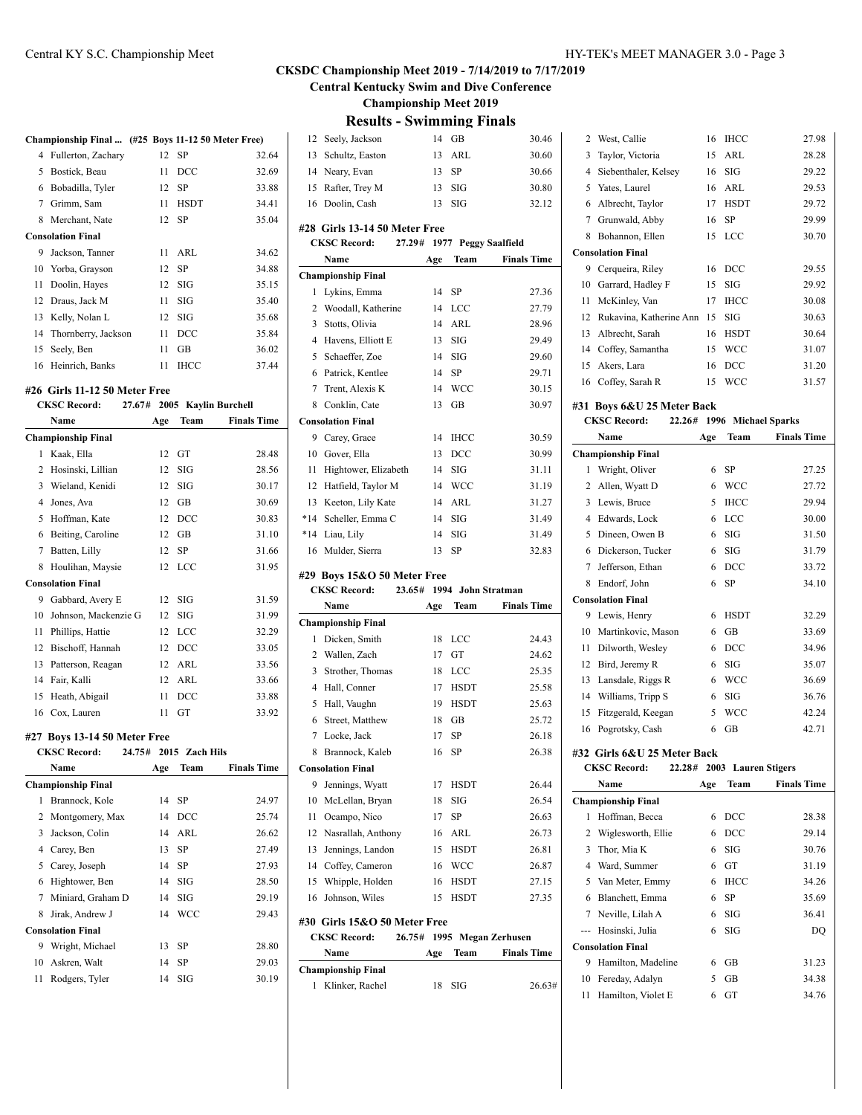## Central KY S.C. Championship Meet HY-TEK's MEET MANAGER 3.0 - Page 3

### **CKSDC Championship Meet 2019 - 7/14/2019 to 7/17/2019**

**Central Kentucky Swim and Dive Conference**

**Championship Meet 2019**

|                | Championship Final  (#25 Boys 11-12 50 Meter Free) |          |                        |                      |    |
|----------------|----------------------------------------------------|----------|------------------------|----------------------|----|
| $\overline{4}$ | Fullerton, Zachary                                 | 12       | SP                     | 32.64                |    |
| 5              | Bostick, Beau                                      | 11       | DCC                    | 32.69                |    |
|                | 6 Bobadilla, Tyler                                 | 12       | SP                     | 33.88                |    |
|                | 7 Grimm, Sam                                       | 11       | <b>HSDT</b>            | 34.41                |    |
| 8              | Merchant, Nate                                     | 12       | SP                     | 35.04                | #  |
|                | <b>Consolation Final</b>                           |          |                        |                      |    |
| 9              | Jackson, Tanner                                    | 11       | ARL                    | 34.62                |    |
| 10             | Yorba, Grayson                                     | 12       | SP                     | 34.88                | C  |
| 11             | Doolin, Hayes                                      | 12       | SIG                    | 35.15                |    |
| 12             | Draus, Jack M                                      | 11       | SIG                    | 35.40                |    |
| 13             | Kelly, Nolan L                                     | 12       | SIG                    | 35.68                |    |
| 14             | Thornberry, Jackson                                | 11       | DCC                    | 35.84                |    |
| 15             | Seely, Ben                                         | 11       | GB                     | 36.02                |    |
| 16             | Heinrich, Banks                                    | 11       | <b>IHCC</b>            | 37.44                |    |
|                | #26 Girls 11-12 50 Meter Free                      |          |                        |                      |    |
|                | <b>CKSC Record:</b><br>27.67#                      |          |                        | 2005 Kaylin Burchell |    |
|                | Name                                               | Age      | Team                   | <b>Finals Time</b>   | C  |
|                | <b>Championship Final</b>                          |          |                        |                      |    |
| 1              | Kaak, Ella                                         | 12       | GT                     | 28.48                |    |
| 2              | Hosinski, Lillian                                  | 12       | SIG                    | 28.56                |    |
|                | 3 Wieland, Kenidi                                  | 12       | SIG                    | 30.17                |    |
|                | 4 Jones, Ava                                       | 12       | GB                     | 30.69                |    |
| 5              | Hoffman, Kate                                      | 12       | DCC                    | 30.83                |    |
| 6              | Beiting, Caroline                                  | 12       | GB                     | 31.10                | ş  |
| 7              | Batten, Lilly                                      | 12       | SP                     | 31.66                |    |
| 8              | Houlihan, Maysie                                   | 12       | LCC                    | 31.95                |    |
|                | <b>Consolation Final</b>                           |          |                        |                      | #. |
| 9              | Gabbard, Avery E                                   | 12       | SIG                    | 31.59                |    |
|                | 10 Johnson, Mackenzie G                            | 12       | SIG                    | 31.99                |    |
| 11             | Phillips, Hattie                                   | 12       | <b>LCC</b>             | 32.29                | C  |
| 12             | Bischoff, Hannah                                   | 12       | DCC                    | 33.05                |    |
| 13             | Patterson, Reagan                                  | 12       | ARL                    | 33.56                |    |
| 14             | Fair, Kalli                                        | 12       | ARL                    | 33.66                |    |
| 15             | Heath, Abigail                                     | 11       | DCC                    | 33.88                |    |
| 16             | Cox, Lauren                                        | 11       | <b>GT</b>              | 33.92                |    |
|                |                                                    |          |                        |                      |    |
|                | #27 Boys 13-14 50 Meter Free<br>24.75#             |          |                        |                      |    |
|                | <b>CKSC Record:</b><br>Name                        | Age      | 2015 Zach Hils<br>Team | <b>Finals Time</b>   |    |
|                | <b>Championship Final</b>                          |          |                        |                      | C  |
| 1              | Brannock, Kole                                     |          |                        |                      |    |
| 2              | Montgomery, Max                                    | 14       | SP                     | 24.97                |    |
|                |                                                    | 14<br>14 | DCC<br>ARL             | 25.74                |    |
| 3<br>4         | Jackson, Colin<br>Carey, Ben                       |          | SP                     | 26.62                |    |
| 5              | Carey, Joseph                                      | 13       |                        | 27.49                |    |
| 6              | Hightower, Ben                                     | 14<br>14 | SP                     | 27.93                |    |
| 7              | Miniard, Graham D                                  |          | SIG<br>SIG             | 28.50<br>29.19       |    |
|                |                                                    | 14       |                        |                      |    |

|                     |    |                                   |                    | Спан           |
|---------------------|----|-----------------------------------|--------------------|----------------|
| , Hayes             |    | $12$ SIG                          | 35.15              | 1              |
| Jack M              | 11 | -SIG                              | 35.40              | 2              |
| Nolan L             |    | $12$ SIG                          | 35.68              | 3              |
| berry, Jackson      | 11 | DCC                               | 35.84              | $\overline{4}$ |
| Ben                 | 11 | GB                                | 36.02              |                |
| ch, Banks           | 11 | <b>IHCC</b>                       | 37.44              | 5              |
|                     |    |                                   |                    | 6              |
| 11-12 50 Meter Free |    |                                   |                    | 7              |
|                     |    | cord: 27.67# 2005 Kavlin Burchell |                    | 8              |
|                     |    | Age Team                          | <b>Finals Time</b> | Cons           |
| ip Final            |    |                                   |                    | 9              |
| Ella                |    | $12 \quad \text{GT}$              | 28.48              | 10             |
|                     |    |                                   |                    |                |

|    | unde munic<br>$-1.1.7$    |     | 4919 Lath 11119 |                    |
|----|---------------------------|-----|-----------------|--------------------|
|    | Name                      | Age | Team            | <b>Finals Time</b> |
|    | <b>Championship Final</b> |     |                 |                    |
| 1  | Brannock, Kole            | 14  | SP              | 24.97              |
| 2  | Montgomery, Max           | 14  | DCC             | 25.74              |
| 3  | Jackson, Colin            | 14  | ARL             | 26.62              |
| 4  | Carey, Ben                | 13  | SP              | 27.49              |
| 5  | Carey, Joseph             | 14  | SP              | 27.93              |
| 6  | Hightower, Ben            | 14  | SIG             | 28.50              |
| 7  | Miniard, Graham D         | 14  | SIG             | 29.19              |
| 8  | Jirak, Andrew J           | 14  | <b>WCC</b>      | 29.43              |
|    | <b>Consolation Final</b>  |     |                 |                    |
| 9  | Wright, Michael           | 13  | SP              | 28.80              |
|    | 10 Askren, Walt           | 14  | SP              | 29.03              |
| 11 | Rodgers, Tyler            | 14  | SIG             | 30.19              |

| 7<br>8<br>9<br>10<br>11<br>12<br>13<br>14<br>15<br>16 | Brannock, Kaleb<br><b>Consolation Final</b><br>Jennings, Wyatt<br>McLellan, Bryan<br>Ocampo, Nico<br>Nasrallah, Anthony<br>Jennings, Landon<br>Coffey, Cameron<br>Whipple, Holden<br>Johnson, Wiles<br>#30 Girls 15&O 50 Meter Free<br><b>CKSC Record:</b><br>Name<br><b>Championship Final</b> | 16<br>17<br>18<br>17<br>16<br>15<br>16<br>16<br>15<br>26.75#<br>1995<br>Age | SP<br>HSDT<br>SIG<br>SP<br>ARL<br>HSDT<br>WCC<br><b>HSDT</b><br>HSDT<br>Team | 26.38<br>26.44<br>26.54<br>26.63<br>26.73<br>26.81<br>26.87<br>27.15<br>27.35<br><b>Megan Zerhusen</b><br><b>Finals Time</b> |
|-------------------------------------------------------|-------------------------------------------------------------------------------------------------------------------------------------------------------------------------------------------------------------------------------------------------------------------------------------------------|-----------------------------------------------------------------------------|------------------------------------------------------------------------------|------------------------------------------------------------------------------------------------------------------------------|
|                                                       |                                                                                                                                                                                                                                                                                                 |                                                                             |                                                                              |                                                                                                                              |
|                                                       |                                                                                                                                                                                                                                                                                                 |                                                                             |                                                                              |                                                                                                                              |
|                                                       |                                                                                                                                                                                                                                                                                                 |                                                                             |                                                                              |                                                                                                                              |
|                                                       |                                                                                                                                                                                                                                                                                                 |                                                                             |                                                                              |                                                                                                                              |
|                                                       |                                                                                                                                                                                                                                                                                                 |                                                                             |                                                                              |                                                                                                                              |
|                                                       |                                                                                                                                                                                                                                                                                                 |                                                                             |                                                                              |                                                                                                                              |
|                                                       |                                                                                                                                                                                                                                                                                                 |                                                                             |                                                                              |                                                                                                                              |
|                                                       |                                                                                                                                                                                                                                                                                                 |                                                                             |                                                                              |                                                                                                                              |
|                                                       |                                                                                                                                                                                                                                                                                                 |                                                                             |                                                                              |                                                                                                                              |
|                                                       |                                                                                                                                                                                                                                                                                                 |                                                                             |                                                                              |                                                                                                                              |
|                                                       |                                                                                                                                                                                                                                                                                                 |                                                                             |                                                                              |                                                                                                                              |
|                                                       |                                                                                                                                                                                                                                                                                                 |                                                                             |                                                                              |                                                                                                                              |
|                                                       |                                                                                                                                                                                                                                                                                                 |                                                                             |                                                                              |                                                                                                                              |
|                                                       |                                                                                                                                                                                                                                                                                                 |                                                                             |                                                                              |                                                                                                                              |
|                                                       |                                                                                                                                                                                                                                                                                                 |                                                                             |                                                                              |                                                                                                                              |
|                                                       | Locke, Jack                                                                                                                                                                                                                                                                                     | 17                                                                          | SP                                                                           | 26.18                                                                                                                        |
| 6                                                     | Street, Matthew                                                                                                                                                                                                                                                                                 | 18                                                                          | GB                                                                           | 25.72                                                                                                                        |
| 5                                                     | Hall, Vaughn                                                                                                                                                                                                                                                                                    | 19                                                                          | <b>HSDT</b>                                                                  | 25.63                                                                                                                        |
|                                                       | 4 Hall, Conner                                                                                                                                                                                                                                                                                  | 17                                                                          | <b>HSDT</b>                                                                  | 25.58                                                                                                                        |
| 3                                                     | Strother, Thomas                                                                                                                                                                                                                                                                                | 18                                                                          | LCC                                                                          | 25.35                                                                                                                        |
| 2                                                     | Wallen, Zach                                                                                                                                                                                                                                                                                    | 17                                                                          | GT                                                                           | 24.62                                                                                                                        |
| 1                                                     | Dicken, Smith                                                                                                                                                                                                                                                                                   | 18                                                                          | LCC                                                                          | 24.43                                                                                                                        |
|                                                       | <b>Championship Final</b>                                                                                                                                                                                                                                                                       |                                                                             |                                                                              |                                                                                                                              |
|                                                       | Name                                                                                                                                                                                                                                                                                            | Age                                                                         | Team                                                                         | <b>Finals Time</b>                                                                                                           |
|                                                       | <b>CKSC Record:</b>                                                                                                                                                                                                                                                                             | 23.65#                                                                      |                                                                              | 1994 John Stratman                                                                                                           |
|                                                       | #29 Boys 15&O 50 Meter Free                                                                                                                                                                                                                                                                     |                                                                             |                                                                              |                                                                                                                              |
| 16                                                    | Mulder, Sierra                                                                                                                                                                                                                                                                                  | 13                                                                          | SP                                                                           | 32.83                                                                                                                        |
| $*14$                                                 | Liau, Lily                                                                                                                                                                                                                                                                                      | 14                                                                          | SIG                                                                          | 31.49                                                                                                                        |
| $*14$                                                 | Scheller, Emma C                                                                                                                                                                                                                                                                                | 14                                                                          | SIG                                                                          | 31.49                                                                                                                        |
| 13                                                    | Keeton, Lily Kate                                                                                                                                                                                                                                                                               | 14                                                                          | ARL                                                                          | 31.27                                                                                                                        |
| 12                                                    | Hatfield, Taylor M                                                                                                                                                                                                                                                                              | 14                                                                          | <b>WCC</b>                                                                   | 31.19                                                                                                                        |
| 11                                                    | Hightower, Elizabeth                                                                                                                                                                                                                                                                            | 14                                                                          | SIG                                                                          | 31.11                                                                                                                        |
| 10                                                    | Gover, Ella                                                                                                                                                                                                                                                                                     | 13                                                                          | DCC                                                                          | 30.99                                                                                                                        |
| 9                                                     | Carey, Grace                                                                                                                                                                                                                                                                                    | 14                                                                          | IHCC                                                                         | 30.59                                                                                                                        |
|                                                       | <b>Consolation Final</b>                                                                                                                                                                                                                                                                        |                                                                             |                                                                              |                                                                                                                              |
| 8                                                     | Conklin, Cate                                                                                                                                                                                                                                                                                   | 13                                                                          | GВ                                                                           | 30.97                                                                                                                        |
| 7                                                     | Trent, Alexis K                                                                                                                                                                                                                                                                                 | 14                                                                          | WCC                                                                          | 30.15                                                                                                                        |
| 6                                                     | Patrick, Kentlee                                                                                                                                                                                                                                                                                | 14                                                                          | SP                                                                           | 29.71                                                                                                                        |
| 5                                                     | Schaeffer, Zoe                                                                                                                                                                                                                                                                                  | 14                                                                          | SIG                                                                          | 29.60                                                                                                                        |
|                                                       | 4 Havens, Elliott E                                                                                                                                                                                                                                                                             | 13                                                                          | SIG                                                                          | 29.49                                                                                                                        |
| 3                                                     | Stotts, Olivia                                                                                                                                                                                                                                                                                  | 14                                                                          | ARL                                                                          | 28.96                                                                                                                        |
| 2                                                     | Woodall, Katherine                                                                                                                                                                                                                                                                              | 14                                                                          | LCC                                                                          | 27.79                                                                                                                        |
| 1                                                     | Lykins, Emma                                                                                                                                                                                                                                                                                    | 14                                                                          | SP                                                                           | 27.36                                                                                                                        |
|                                                       | <b>Championship Final</b>                                                                                                                                                                                                                                                                       |                                                                             |                                                                              |                                                                                                                              |
|                                                       | Name                                                                                                                                                                                                                                                                                            | Age                                                                         | Team                                                                         | <b>Finals Time</b>                                                                                                           |
|                                                       | <b>CKSC Record:</b>                                                                                                                                                                                                                                                                             | 27.29#                                                                      |                                                                              | 1977 Peggy Saalfield                                                                                                         |
|                                                       | #28 Girls 13-14 50 Meter Free                                                                                                                                                                                                                                                                   |                                                                             |                                                                              |                                                                                                                              |
| 16                                                    | Doolin, Cash                                                                                                                                                                                                                                                                                    | 13                                                                          | <b>SIG</b>                                                                   | 32.12                                                                                                                        |
| 15                                                    | Rafter, Trey M                                                                                                                                                                                                                                                                                  | 13                                                                          | SIG                                                                          | 30.80                                                                                                                        |
|                                                       | 14 Neary, Evan                                                                                                                                                                                                                                                                                  | 13                                                                          | SP                                                                           | 30.66                                                                                                                        |
|                                                       | Schultz, Easton                                                                                                                                                                                                                                                                                 | 13                                                                          | ARL                                                                          | 30.60                                                                                                                        |
| 13                                                    | Seely, Jackson                                                                                                                                                                                                                                                                                  | 14                                                                          | GB                                                                           | 30.46                                                                                                                        |
| 12                                                    |                                                                                                                                                                                                                                                                                                 |                                                                             |                                                                              |                                                                                                                              |

| 2   | West, Callie                  | 16   | <b>IHCC</b>           | 27.98              |
|-----|-------------------------------|------|-----------------------|--------------------|
| 3   | Taylor, Victoria              | 15   | ARL                   | 28.28              |
| 4   | Siebenthaler, Kelsey          | 16   | $_{\rm SIG}$          | 29.22              |
| 5   | Yates, Laurel                 | 16   | ARL                   | 29.53              |
| 6   | Albrecht, Taylor              | 17   | <b>HSDT</b>           | 29.72              |
| 7   | Grunwald, Abby                | 16   | SP                    | 29.99              |
| 8   | Bohannon, Ellen               | 15   | LCC                   | 30.70              |
|     | <b>Consolation Final</b>      |      |                       |                    |
| 9   | Cerqueira, Riley              | 16   | DCC                   | 29.55              |
| 10  | Garrard, Hadley F             | 15   | SIG                   | 29.92              |
| 11  | McKinley, Van                 | 17   | <b>IHCC</b>           | 30.08              |
| 12  | Rukavina, Katherine Ann       | 15   | SIG                   | 30.63              |
| 13  | Albrecht, Sarah               | 16   | <b>HSDT</b>           | 30.64              |
| 14  | Coffey, Samantha              | 15   | <b>WCC</b>            | 31.07              |
| 15  | Akers, Lara                   | 16   | DCC                   | 31.20              |
| 16  | Coffey, Sarah R               | 15   | <b>WCC</b>            | 31.57              |
|     |                               |      |                       |                    |
|     | #31 Boys 6&U 25 Meter Back    |      |                       |                    |
|     | <b>CKSC Record:</b><br>22.26# | 1996 | <b>Michael Sparks</b> |                    |
|     | Name                          | Age  | Team                  | <b>Finals Time</b> |
|     | <b>Championship Final</b>     |      |                       |                    |
| 1   | Wright, Oliver                | 6    | SP                    | 27.25              |
| 2   | Allen, Wyatt D                | 6    | <b>WCC</b>            | 27.72              |
| 3   | Lewis, Bruce                  | 5    | <b>IHCC</b>           | 29.94              |
| 4   | Edwards, Lock                 | 6    | LCC                   | 30.00              |
| 5   | Dineen, Owen B                | 6    | SIG                   | 31.50              |
| 6   | Dickerson, Tucker             | 6    | SIG                   | 31.79              |
| 7   | Jefferson, Ethan              | 6    | DCC                   | 33.72              |
| 8   | Endorf, John                  | 6    | SP                    | 34.10              |
|     | <b>Consolation Final</b>      |      |                       |                    |
| 9   | Lewis, Henry                  | 6    | HSDT                  | 32.29              |
| 10  | Martinkovic, Mason            | 6    | GВ                    | 33.69              |
| 11  | Dilworth, Wesley              | 6    | DCC                   | 34.96              |
| 12  | Bird, Jeremy R                | 6    | SIG                   | 35.07              |
| 13  | Lansdale, Riggs R             | 6    | WCC                   | 36.69              |
| 14  | Williams, Tripp S             | 6    | SIG                   | 36.76              |
| 15  | Fitzgerald, Keegan            | 5    | <b>WCC</b>            | 42.24              |
| 16  | Pogrotsky, Cash               | 6    | <b>GB</b>             | 42.71              |
|     |                               |      |                       |                    |
|     | #32 Girls 6&U 25 Meter Back   |      |                       |                    |
|     | <b>CKSC Record:</b><br>22.28# | 2003 | <b>Lauren Stigers</b> |                    |
|     | Name                          | Age  | Team                  | <b>Finals Time</b> |
|     | <b>Championship Final</b>     |      |                       |                    |
| 1   | Hoffman, Becca                | 6    | DCC                   | 28.38              |
| 2   | Wiglesworth, Ellie            | 6    | DCC                   | 29.14              |
| 3   | Thor, Mia K                   | 6    | SIG                   | 30.76              |
| 4   | Ward, Summer                  | 6    | GT                    | 31.19              |
| 5   | Van Meter, Emmy               | 6    | <b>IHCC</b>           | 34.26              |
| 6   | Blanchett, Emma               | 6    | SP                    | 35.69              |
| 7   | Neville, Lilah A              | 6    | SIG                   | 36.41              |
| --- | Hosinski, Julia               | 6    | SIG                   | DQ                 |
|     | <b>Consolation Final</b>      |      |                       |                    |
| 9   | Hamilton, Madeline            | 6    | GВ                    | 31.23              |
| 10  |                               | 5    | GВ                    | 34.38              |
|     | Fereday, Adalyn               |      |                       |                    |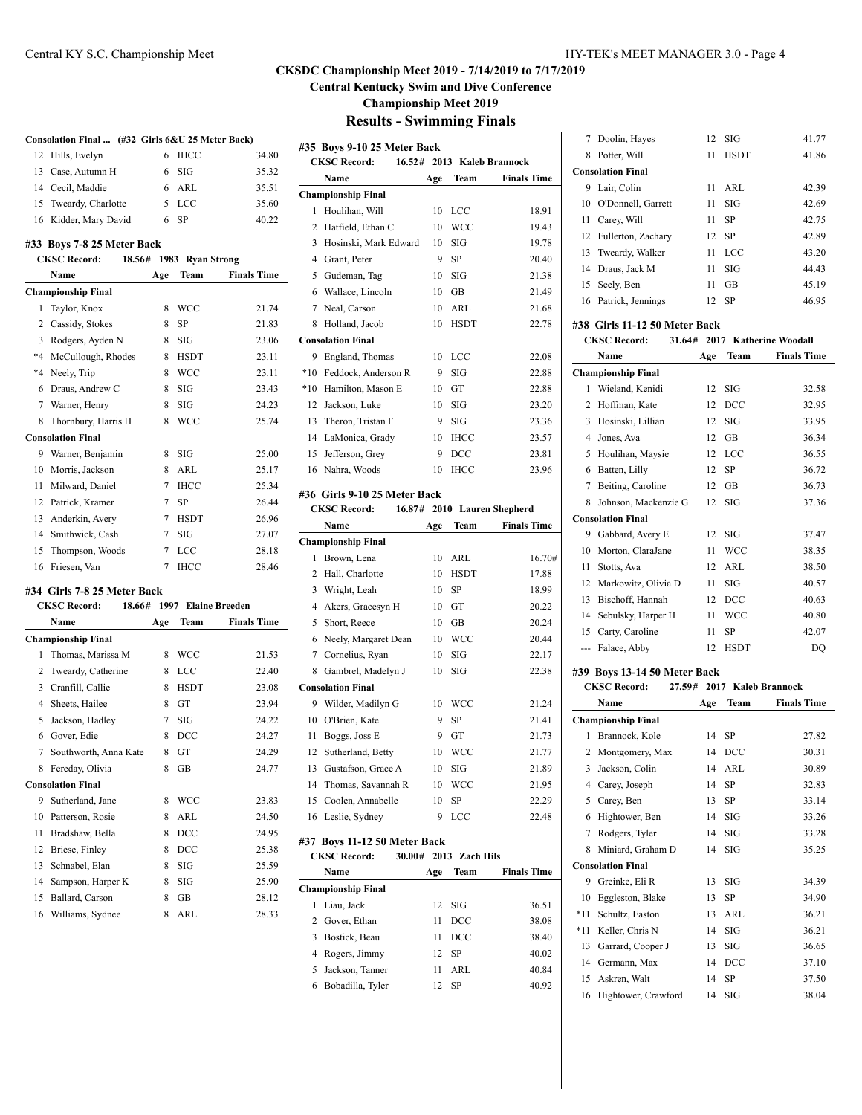### **CKSDC Championship Meet 2019 - 7/14/2019 to 7/17/2019 Central Kentucky Swim and Dive Conference**

**Championship Meet 2019**

#### **Results - Swimming Finals**

|    | Consolation Final  (#32 Girls 6&U 25 Meter Back) |        |                  |                     |
|----|--------------------------------------------------|--------|------------------|---------------------|
| 12 | Hills, Evelyn                                    | 6      | <b>IHCC</b>      | 34.80               |
|    | 13 Case, Autumn H                                | 6      | SIG              | 35.32               |
|    | 14 Cecil, Maddie                                 | 6      | ARL              | 35.51               |
|    | 15 Tweardy, Charlotte                            | 5      | LCC              | 35.60               |
| 16 | Kidder, Mary David                               | 6      | <b>SP</b>        | 40.22               |
|    | #33 Boys 7-8 25 Meter Back                       |        |                  |                     |
|    | <b>CKSC Record:</b><br>18.56#                    |        | 1983 Ryan Strong |                     |
|    | Name                                             | Age    | Team             | <b>Finals Time</b>  |
|    | <b>Championship Final</b>                        |        |                  |                     |
| 1  | Taylor, Knox                                     | 8      | <b>WCC</b>       | 21.74               |
|    | 2 Cassidy, Stokes                                | 8      | <b>SP</b>        | 21.83               |
|    | 3 Rodgers, Ayden N                               | 8      | SIG              | 23.06               |
|    | *4 McCullough, Rhodes                            | 8      | <b>HSDT</b>      | 23.11               |
|    | *4 Neely, Trip                                   | 8      | <b>WCC</b>       | 23.11               |
| 6  | Draus, Andrew C                                  | 8      | SIG              | 23.43               |
|    | 7 Warner, Henry                                  | 8      | SIG              | 24.23               |
| 8  | Thornbury, Harris H                              | 8      | <b>WCC</b>       | 25.74               |
|    | <b>Consolation Final</b>                         |        |                  |                     |
| 9  | Warner, Benjamin                                 | 8      | SIG              | 25.00               |
| 10 | Morris, Jackson                                  | 8      | ARL              | 25.17               |
|    | 11 Milward, Daniel                               | 7      | <b>IHCC</b>      | 25.34               |
|    | 12 Patrick, Kramer                               | $\tau$ | SP               | 26.44               |
|    | 13 Anderkin, Avery                               | 7      | <b>HSDT</b>      | 26.96               |
|    | 14 Smithwick, Cash                               | 7      | SIG              | 27.07               |
| 15 | Thompson, Woods                                  | 7      | LCC              | 28.18               |
| 16 | Friesen, Van                                     | 7      | <b>IHCC</b>      | 28.46               |
|    | #34 Girls 7-8 25 Meter Back                      |        |                  |                     |
|    | <b>CKSC Record:</b><br>18.66#                    |        |                  | 1997 Elaine Breeden |
|    | Name                                             | Age    | Team             | <b>Finals Time</b>  |
|    | <b>Championship Final</b>                        |        |                  |                     |
| 1  | Thomas, Marissa M                                | 8      | <b>WCC</b>       | 21.53               |
|    | 2 Tweardy, Catherine                             | 8      | LCC              | 22.40               |
|    | 3 Cranfill, Callie                               | 8      | <b>HSDT</b>      | 23.08               |
|    | 4 Sheets, Hailee                                 | 8      | <b>GT</b>        | 23.94               |
|    | 5 Jackson, Hadley                                | 7      | SIG              | 24.22               |
|    | 6 Gover, Edie                                    | 8      | DCC              | 24.27               |
| 7  | Southworth, Anna Kate                            | 8      | GT               | 24.29               |
|    | 8 Fereday, Olivia                                | 8      | GB               | 24.77               |
|    | <b>Consolation Final</b>                         |        |                  |                     |
| 9  | Sutherland, Jane                                 | 8      | WCC              | 23.83               |
| 10 | Patterson, Rosie                                 | 8      | ARL              | 24.50               |
| 11 | Bradshaw, Bella                                  | 8      | DCC              | 24.95               |
| 12 | Briese, Finley                                   | 8      | DCC              | 25.38               |
| 13 | Schnabel, Elan                                   | 8      | SIG              | 25.59               |
| 14 | Sampson, Harper K                                | 8      | SIG              | 25.90               |
| 15 | Ballard, Carson                                  | 8      | GB               | 28.12               |
| 16 | Williams, Sydnee                                 | 8      | ARL              | 28.33               |
|    |                                                  |        |                  |                     |

| #35 Boys 9-10 25 Meter Back |                               |      |                      |                    |
|-----------------------------|-------------------------------|------|----------------------|--------------------|
|                             | <b>CKSC Record:</b><br>16.52# |      | 2013 Kaleb Brannock  |                    |
|                             | Name                          | Age  | Team                 | <b>Finals Time</b> |
|                             | <b>Championship Final</b>     |      |                      |                    |
| 1                           | Houlihan, Will                | 10   | LCC                  | 18.91              |
| 2                           | Hatfield, Ethan C             | 10   | <b>WCC</b>           | 19.43              |
| 3                           | Hosinski, Mark Edward         | 10   | SIG                  | 19.78              |
|                             | 4 Grant, Peter                | 9    | <b>SP</b>            | 20.40              |
| 5                           | Gudeman, Tag                  | 10   | SIG                  | 21.38              |
|                             | 6 Wallace, Lincoln            | 10   | GB                   | 21.49              |
| 7                           | Neal, Carson                  | 10   | ARL                  | 21.68              |
| 8                           | Holland, Jacob                | 10   | <b>HSDT</b>          | 22.78              |
|                             | <b>Consolation Final</b>      |      |                      |                    |
| 9                           | England, Thomas               | 10   | LCC                  | 22.08              |
|                             | *10 Feddock, Anderson R       | 9    | SIG                  | 22.88              |
| $*10$                       | Hamilton, Mason E             | 10   | GT                   | 22.88              |
|                             | 12 Jackson, Luke              | 10   | SIG                  | 23.20              |
| 13                          | Theron. Tristan F             | 9    | SIG                  | 23.36              |
|                             | 14 LaMonica, Grady            | 10   | <b>IHCC</b>          | 23.57              |
| 15                          | Jefferson, Grey               | 9    | DCC                  | 23.81              |
| 16                          | Nahra, Woods                  | 10   | <b>IHCC</b>          | 23.96              |
|                             | #36 Girls 9-10 25 Meter Back  |      |                      |                    |
|                             | <b>CKSC Record:</b><br>16.87# |      | 2010 Lauren Shepherd |                    |
|                             | Name                          | Age  | Team                 | <b>Finals Time</b> |
|                             | <b>Championship Final</b>     |      |                      |                    |
| 1                           | Brown, Lena                   | 10   | ARL                  | 16.70#             |
|                             | 2 Hall, Charlotte             | 10   | <b>HSDT</b>          | 17.88              |
|                             | 3 Wright, Leah                | 10   | <b>SP</b>            | 18.99              |
| 4                           | Akers, Gracesyn H             | 10   | GT                   | 20.22              |
| 5                           | Short, Reece                  | 10   | GB                   | 20.24              |
| 6                           | Neely, Margaret Dean          | 10   | <b>WCC</b>           | 20.44              |
| 7                           | Cornelius, Ryan               | 10   | SIG                  | 22.17              |
| 8                           | Gambrel, Madelyn J            | 10   | SIG                  | 22.38              |
|                             | <b>Consolation Final</b>      |      |                      |                    |
| 9                           | Wilder, Madilyn G             | 10   | WCC                  | 21.24              |
| 10                          | O'Brien, Kate                 | 9    | SP                   | 21.41              |
| 11                          | Boggs, Joss E                 | 9    | GT                   | 21.73              |
| 12                          | Sutherland, Betty             | 10   | <b>WCC</b>           | 21.77              |
| 13                          | Gustafson, Grace A            | 10   | SIG                  | 21.89              |
| 14                          | Thomas, Savannah R            | 10   | WCC                  | 21.95              |
| 15                          | Coolen, Annabelle             | 10   | SP                   | 22.29              |
| 16                          | Leslie, Sydney                | 9    | LCC                  | 22.48              |
|                             | #37 Boys 11-12 50 Meter Back  |      |                      |                    |
|                             | <b>CKSC Record:</b><br>30.00# | 2013 | <b>Zach Hils</b>     |                    |
|                             | Name                          | Age  | Team                 | <b>Finals Time</b> |
|                             | <b>Championship Final</b>     |      |                      |                    |
| 1                           | Liau, Jack                    | 12   | SIG                  | 36.51              |
|                             | 2 Gover, Ethan                | 11   | DCC                  | 38.08              |
| 3                           | Bostick, Beau                 | 11   | DCC                  | 38.40              |
| 4                           | Rogers, Jimmy                 | 12   | SP                   | 40.02              |
| 5                           | Jackson, Tanner               | 11   | ARL                  | 40.84              |
| 6                           | Bobadilla, Tyler              | 12   | SP                   | 40.92              |
|                             |                               |      |                      |                    |

|   | 7 Doolin, Hayes               |    | $12$ SIG                      | 41.77 |  |
|---|-------------------------------|----|-------------------------------|-------|--|
| 8 | Potter, Will                  | 11 | <b>HSDT</b>                   | 41.86 |  |
|   | <b>Consolation Final</b>      |    |                               |       |  |
|   | 9 Lair, Colin                 | 11 | ARL                           | 42.39 |  |
|   | 10 O'Donnell, Garrett         | 11 | SIG                           | 42.69 |  |
|   | 11 Carey, Will                | 11 | <b>SP</b>                     | 42.75 |  |
|   | 12 Fullerton, Zachary         |    | 12 SP                         | 42.89 |  |
|   | 13 Tweardy, Walker            | 11 | LCC                           | 43.20 |  |
|   | 14 Draus, Jack M              | 11 | SIG                           | 44.43 |  |
|   | 15 Seely, Ben                 | 11 | GB                            | 45.19 |  |
|   | 16 Patrick, Jennings          |    | 12 SP                         | 46.95 |  |
|   | #38 Girls 11-12 50 Meter Back |    |                               |       |  |
|   | <b>CKSC Record:</b>           |    | 31.64# 2017 Katherine Woodall |       |  |

| Name                                              |                              | Age | Team        | <b>Finals Time</b> |  |  |
|---------------------------------------------------|------------------------------|-----|-------------|--------------------|--|--|
|                                                   | <b>Championship Final</b>    |     |             |                    |  |  |
| 1                                                 | Wieland, Kenidi              | 12  | SIG         | 32.58              |  |  |
| 2                                                 | Hoffman, Kate                | 12  | <b>DCC</b>  | 32.95              |  |  |
| 3                                                 | Hosinski, Lillian            | 12  | SIG         | 33.95              |  |  |
| 4                                                 | Jones, Ava                   | 12  | GB          | 36.34              |  |  |
| 5                                                 | Houlihan, Maysie             | 12  | LCC         | 36.55              |  |  |
| 6                                                 | Batten, Lilly                | 12  | SP          | 36.72              |  |  |
| 7                                                 | Beiting, Caroline            | 12  | <b>GB</b>   | 36.73              |  |  |
| 8                                                 | Johnson, Mackenzie G         | 12  | SIG         | 37.36              |  |  |
|                                                   | <b>Consolation Final</b>     |     |             |                    |  |  |
| 9                                                 | Gabbard, Avery E             | 12  | SIG         | 37.47              |  |  |
| 10                                                | Morton, ClaraJane            | 11  | <b>WCC</b>  | 38.35              |  |  |
| 11                                                | Stotts, Ava                  | 12  | ARL         | 38.50              |  |  |
| 12                                                | Markowitz, Olivia D          | 11  | SIG         | 40.57              |  |  |
| 13                                                | Bischoff, Hannah             | 12  | <b>DCC</b>  | 40.63              |  |  |
| 14                                                | Sebulsky, Harper H           | 11  | <b>WCC</b>  | 40.80              |  |  |
| 15                                                | Carty, Caroline              | 11  | SP          | 42.07              |  |  |
| ---                                               | Falace, Abby                 | 12  | <b>HSDT</b> | DQ                 |  |  |
|                                                   | #39 Boys 13-14 50 Meter Back |     |             |                    |  |  |
| <b>CKSC Record:</b><br>27.59# 2017 Kaleb Brannock |                              |     |             |                    |  |  |

|       | Name                      | Age | Team | <b>Finals Time</b> |
|-------|---------------------------|-----|------|--------------------|
|       | <b>Championship Final</b> |     |      |                    |
| 1     | Brannock, Kole            | 14  | SP   | 27.82              |
| 2     | Montgomery, Max           | 14  | DCC  | 30.31              |
| 3     | Jackson, Colin            | 14  | ARL  | 30.89              |
| 4     | Carey, Joseph             | 14  | SP   | 32.83              |
| 5     | Carey, Ben                | 13  | SP   | 33.14              |
| 6     | Hightower, Ben            | 14  | SIG  | 33.26              |
| 7     | Rodgers, Tyler            | 14  | SIG  | 33.28              |
| 8     | Miniard, Graham D         | 14  | SIG  | 35.25              |
|       | <b>Consolation Final</b>  |     |      |                    |
| 9     | Greinke, Eli R            | 13  | SIG  | 34.39              |
| 10    | Eggleston, Blake          | 13  | SP   | 34.90              |
| *11   | Schultz, Easton           | 13  | ARL  | 36.21              |
| $*11$ | Keller, Chris N           | 14  | SIG  | 36.21              |
| 13    | Garrard, Cooper J         | 13  | SIG  | 36.65              |
| 14    | Germann, Max              | 14  | DCC  | 37.10              |
| 15    | Askren, Walt              | 14  | SP   | 37.50              |
| 16    | Hightower, Crawford       | 14  | SIG  | 38.04              |

# **Consolation Final ... (#32 Girls 6&U 25 Meter Back)**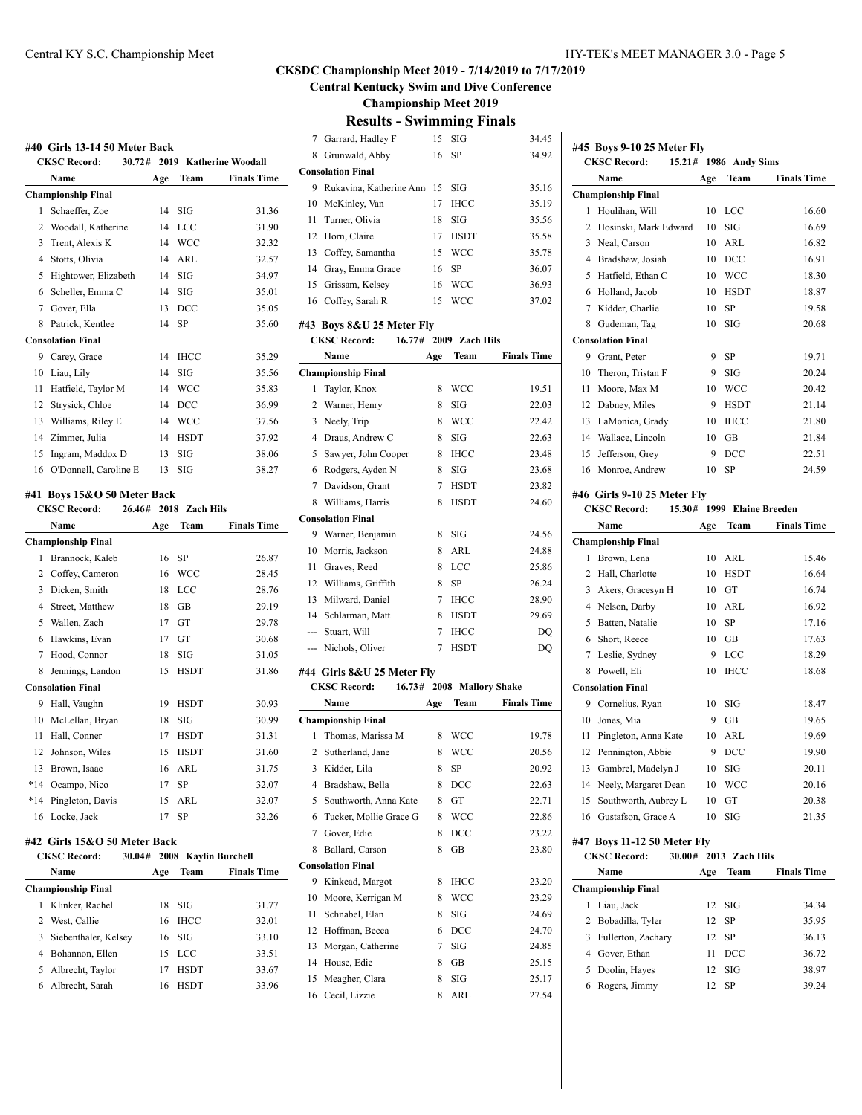**Central Kentucky Swim and Dive Conference**

**Championship Meet 2019**

#### **Results - Swimming Finals**

|       | #40 Girls 13-14 50 Meter Back         |     |                |                        |
|-------|---------------------------------------|-----|----------------|------------------------|
|       | 30.72#<br><b>CKSC Record:</b>         |     |                | 2019 Katherine Woodall |
|       | Name                                  | Age | Team           | <b>Finals Time</b>     |
|       | <b>Championship Final</b>             |     |                |                        |
| 1     | Schaeffer, Zoe                        | 14  | SIG            | 31.36                  |
|       | 2 Woodall, Katherine                  | 14  | LCC            | 31.90                  |
| 3     | Trent, Alexis K                       | 14  | <b>WCC</b>     | 32.32                  |
|       | 4 Stotts, Olivia                      | 14  | ARL            | 32.57                  |
| 5     | Hightower, Elizabeth                  | 14  | SIG            | 34.97                  |
|       | 6 Scheller, Emma C                    | 14  | SIG            | 35.01                  |
|       | 7 Gover, Ella                         | 13  | DCC            | 35.05                  |
| 8     | Patrick, Kentlee                      | 14  | SP             | 35.60                  |
|       | <b>Consolation Final</b>              |     |                |                        |
| 9     | Carey, Grace                          | 14  | <b>IHCC</b>    | 35.29                  |
| 10    | Liau, Lily                            | 14  | SIG            | 35.56                  |
| 11    | Hatfield, Taylor M                    |     | 14 WCC         | 35.83                  |
| 12    | Strysick, Chloe                       | 14  | DCC            | 36.99                  |
| 13    | Williams, Riley E                     | 14  | <b>WCC</b>     | 37.56                  |
| 14    | Zimmer, Julia                         | 14  | <b>HSDT</b>    | 37.92                  |
| 15    | Ingram, Maddox D                      | 13  | SIG            | 38.06                  |
| 16    | O'Donnell, Caroline E                 | 13  | SIG            | 38.27                  |
|       |                                       |     |                |                        |
|       | #41 Boys 15&O 50 Meter Back<br>26.46# |     | 2018 Zach Hils |                        |
|       | <b>CKSC Record:</b><br>Name           |     | Team           | <b>Finals Time</b>     |
|       | <b>Championship Final</b>             | Age |                |                        |
| 1     | Brannock, Kaleb                       | 16  | SP             | 26.87                  |
|       | 2 Coffey, Cameron                     | 16  | <b>WCC</b>     | 28.45                  |
| 3     | Dicken, Smith                         | 18  | LCC            | 28.76                  |
|       | 4 Street, Matthew                     | 18  | GB             | 29.19                  |
|       | 5 Wallen, Zach                        | 17  | GT             | 29.78                  |
| 6     | Hawkins, Evan                         | 17  | GT             | 30.68                  |
| 7     | Hood, Connor                          | 18  | SIG            | 31.05                  |
| 8     | Jennings, Landon                      | 15  | <b>HSDT</b>    | 31.86                  |
|       | <b>Consolation Final</b>              |     |                |                        |
| 9     | Hall, Vaughn                          | 19  | HSDT           | 30.93                  |
| 10    | McLellan, Bryan                       | 18  | SIG            | 30.99                  |
| 11    | Hall, Conner                          | 17  | <b>HSDT</b>    | 31.31                  |
| 12    | Johnson, Wiles                        | 15  | <b>HSDT</b>    | 31.60                  |
| 13    | Brown, Isaac                          |     | 16 ARL         | 31.75                  |
|       | *14 Ocampo, Nico                      | 17  | SP             | 32.07                  |
| $*14$ | Pingleton, Davis                      | 15  | ARL            | 32.07                  |
| 16    | Locke, Jack                           | 17  | SP             | 32.26                  |
|       |                                       |     |                |                        |
|       | #42  Girls 15&O 50 Meter Back         |     |                |                        |
|       | <b>CKSC Record:</b><br>30.04#         |     |                | 2008 Kaylin Burchell   |
|       | Name                                  | Age | Team           | <b>Finals Time</b>     |
|       | Championship Final                    |     |                |                        |
| 1     | Klinker, Rachel                       | 18  | SIG            | 31.77                  |
|       | 2 West, Callie                        | 16  | <b>IHCC</b>    | 32.01                  |
| 3     | Siebenthaler, Kelsey                  | 16  | SIG            | 33.10                  |
|       | 4 Bohannon, Ellen                     | 15  | LCC            | 33.51                  |
|       | 5 Albrecht, Taylor                    | 17  | <b>HSDT</b>    | 33.67                  |

Albrecht, Sarah 16 HSDT 33.96

| 7   | Garrard, Hadley F             | 15  | SIG            | 34.45              |
|-----|-------------------------------|-----|----------------|--------------------|
| 8   | Grunwald, Abby                | 16  | SP             | 34.92              |
|     | <b>Consolation Final</b>      |     |                |                    |
| 9   | Rukavina, Katherine Ann 15    |     | SIG            | 35.16              |
| 10  | McKinley, Van                 | 17  | <b>IHCC</b>    | 35.19              |
| 11  | Turner, Olivia                | 18  | SIG            | 35.56              |
| 12  | Horn, Claire                  | 17  | <b>HSDT</b>    | 35.58              |
| 13  | Coffey, Samantha              | 15  | WCC            | 35.78              |
| 14  | Gray, Emma Grace              | 16  | SP             | 36.07              |
| 15  | Grissam, Kelsey               | 16  | WCC            | 36.93              |
| 16  | Coffey, Sarah R               | 15  | <b>WCC</b>     | 37.02              |
|     |                               |     |                |                    |
|     | #43 Boys 8&U 25 Meter Fly     |     |                |                    |
|     | <b>CKSC Record:</b><br>16.77# |     | 2009 Zach Hils |                    |
|     | Name                          | Age | Team           | <b>Finals Time</b> |
|     | <b>Championship Final</b>     |     |                |                    |
| 1   | Taylor, Knox                  | 8   | WCC            | 19.51              |
| 2   | Warner, Henry                 | 8   | SIG            | 22.03              |
| 3   | Neely, Trip                   | 8   | WCC            | 22.42              |
| 4   | Draus, Andrew C               | 8   | SIG            | 22.63              |
| 5   | Sawyer, John Cooper           | 8   | <b>IHCC</b>    | 23.48              |
| 6   | Rodgers, Ayden N              | 8   | SIG            | 23.68              |
| 7   | Davidson, Grant               | 7   | <b>HSDT</b>    | 23.82              |
| 8   | Williams, Harris              | 8   | <b>HSDT</b>    | 24.60              |
|     | <b>Consolation Final</b>      |     |                |                    |
| 9   | Warner, Benjamin              | 8   | SIG            | 24.56              |
| 10  | Morris, Jackson               | 8   | ARL            | 24.88              |
| 11  | Graves, Reed                  | 8   | LCC            | 25.86              |
| 12  | Williams, Griffith            | 8   | SP             | 26.24              |
| 13  | Milward, Daniel               | 7   | IHCC           | 28.90              |
| 14  | Schlarman, Matt               | 8   | <b>HSDT</b>    | 29.69              |
| --- | Stuart, Will                  | 7   | IHCC           | DQ                 |
| --- | Nichols, Oliver               | 7   | <b>HSDT</b>    | DQ                 |
|     | #44 Girls 8&U 25 Meter Fly    |     |                |                    |
|     | <b>CKSC Record:</b><br>16.73# |     |                | 2008 Mallory Shake |
|     | Name                          | Age | Team           | <b>Finals Time</b> |
|     | <b>Championship Final</b>     |     |                |                    |
| 1   | Thomas, Marissa M             | 8   | WCC            | 19.78              |
| 2   | Sutherland, Jane              | 8   | WCC            | 20.56              |
| 3   | Kidder, Lila                  | 8   | SP             | 20.92              |
| 4   | Bradshaw, Bella               | 8   | $_{\rm DCC}$   | 22.63              |
| 5   | Southworth, Anna Kate         | 8   | GT             | 22.71              |
| 6   | Tucker, Mollie Grace G        | 8   | WCC            | 22.86              |
| 7   | Gover, Edie                   | 8   | $_{\rm DCC}$   | 23.22              |
| 8   | Ballard, Carson               | 8   | GВ             | 23.80              |
|     | <b>Consolation Final</b>      |     |                |                    |
| 9   | Kinkead, Margot               | 8   | IHCC           | 23.20              |
| 10  | Moore, Kerrigan M             | 8   | WCC            | 23.29              |
| 11  | Schnabel, Elan                | 8   | SIG            | 24.69              |
| 12  | Hoffman, Becca                | 6   | DCC            | 24.70              |
| 13  | Morgan, Catherine             | 7   | SIG            | 24.85              |
| 14  | House, Edie                   | 8   | GB             | 25.15              |
| 15  | Meagher, Clara                | 8   | SIG            | 25.17              |
|     |                               |     |                |                    |
| 16  | Cecil, Lizzie                 | 8   | ARL            | 27.54              |

|                | #45 Boys 9-10 25 Meter Fly  |        |     |                |                     |  |
|----------------|-----------------------------|--------|-----|----------------|---------------------|--|
|                | <b>CKSC Record:</b>         | 15.21# |     | 1986 Andy Sims |                     |  |
|                | Name                        |        | Age | Team           | <b>Finals Time</b>  |  |
|                | <b>Championship Final</b>   |        |     |                |                     |  |
| 1              | Houlihan, Will              |        | 10  | LCC            | 16.60               |  |
| $\overline{c}$ | Hosinski, Mark Edward       |        | 10  | SIG            | 16.69               |  |
| 3              | Neal, Carson                |        | 10  | ARL            | 16.82               |  |
|                | 4 Bradshaw, Josiah          |        | 10  | DCC            | 16.91               |  |
| 5              | Hatfield, Ethan C           |        | 10  | <b>WCC</b>     | 18.30               |  |
| 6              | Holland, Jacob              |        | 10  | <b>HSDT</b>    | 18.87               |  |
| 7              | Kidder, Charlie             |        | 10  | SP             | 19.58               |  |
| 8              | Gudeman, Tag                |        | 10  | SIG            | 20.68               |  |
|                | <b>Consolation Final</b>    |        |     |                |                     |  |
| 9.             | Grant, Peter                |        | 9   | SP             | 19.71               |  |
| $10-10$        | Theron. Tristan F           |        | 9   | SIG            | 20.24               |  |
| 11             | Moore, Max M                |        | 10  | <b>WCC</b>     | 20.42               |  |
| 12             | Dabney, Miles               |        | 9   | <b>HSDT</b>    | 21.14               |  |
|                | 13 LaMonica, Grady          |        | 10  | <b>IHCC</b>    | 21.80               |  |
|                | 14 Wallace, Lincoln         |        | 10  | GB             | 21.84               |  |
| 15             | Jefferson, Grey             |        | 9   | DCC            | 22.51               |  |
|                | 16 Monroe, Andrew           |        | 10  | SP             | 24.59               |  |
|                | #46 Girls 9-10 25 Meter Fly |        |     |                |                     |  |
|                | <b>CKSC Record:</b>         | 15.30# |     |                | 1999 Elaine Breeden |  |
|                | Name                        |        | Age | Team           | <b>Finals Time</b>  |  |
|                | <b>Championship Final</b>   |        |     |                |                     |  |
| 1              | Brown, Lena                 |        | 10  | ARL            | 15.46               |  |
| $\overline{2}$ | Hall, Charlotte             |        | 10  | <b>HSDT</b>    | 16.64               |  |
| 3              | Akers, Gracesyn H           |        | 10  | <b>GT</b>      | 16.74               |  |
| 4              | Nelson, Darby               |        | 10  | ARL            | 16.92               |  |
| 5              | Batten, Natalie             |        | 10  | SP             | 17.16               |  |
| 6              | Short, Reece                |        | 10  | GB             | 17.63               |  |

|                             | Name                          | Age | Team           | <b>Finals Time</b> |  |
|-----------------------------|-------------------------------|-----|----------------|--------------------|--|
|                             | <b>CKSC Record:</b><br>30.00# |     | 2013 Zach Hils |                    |  |
| #47 Boys 11-12 50 Meter Fly |                               |     |                |                    |  |
|                             | 16 Gustafson, Grace A         |     | SIG            | 21.35              |  |
|                             | 15 Southworth, Aubrey L       |     | GT             | 20.38              |  |
|                             | 14 Neely, Margaret Dean       | 10  | <b>WCC</b>     | 20.16              |  |
| 13                          | Gambrel, Madelyn J            | 10  | SIG            | 20.11              |  |
|                             | 12 Pennington, Abbie          | 9   | <b>DCC</b>     | 19.90              |  |
| 11                          | Pingleton, Anna Kate          | 10  | ARL            | 19.69              |  |
| 10                          | Jones, Mia                    | 9   | GB             | 19.65              |  |
|                             | 9 Cornelius, Ryan             | 10  | SIG            | 18.47              |  |
|                             | <b>Consolation Final</b>      |     |                |                    |  |
| 8                           | Powell, Eli                   | 10  | <b>IHCC</b>    | 18.68              |  |
| 7                           | Leslie, Sydney                | 9   | LCC            | 18.29              |  |

| .                         | 73.EU | теат       | т шаю типе |
|---------------------------|-------|------------|------------|
| <b>Championship Final</b> |       |            |            |
| Liau, Jack                |       | $12$ SIG   | 34.34      |
| 2 Bobadilla, Tyler        |       | 12 SP      | 35.95      |
| 3 Fullerton, Zachary      |       | 12 SP      | 36.13      |
| 4 Gover, Ethan            | 11    | <b>DCC</b> | 36.72      |
| 5 Doolin, Hayes           | 12    | - SIG      | 38.97      |
| Rogers, Jimmy             | 12    | SP         | 39.24      |
|                           |       |            |            |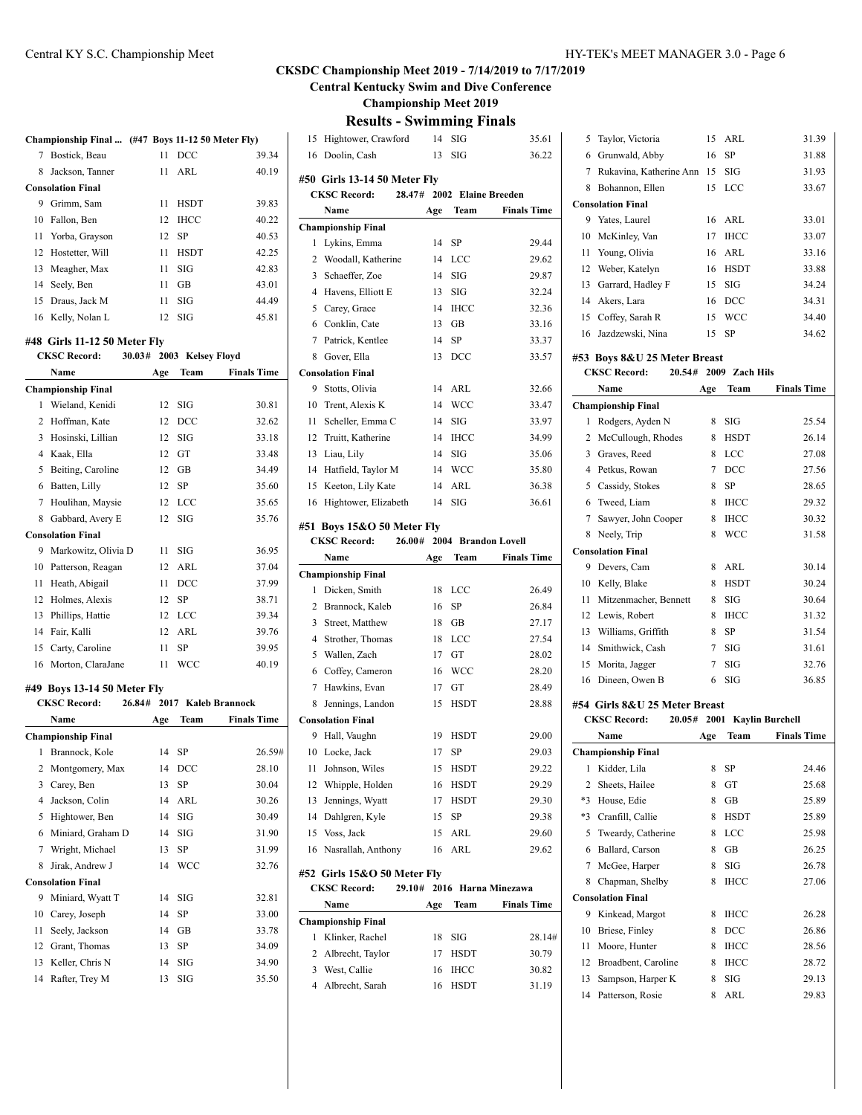**Central Kentucky Swim and Dive Conference**

**Championship Meet 2019**

**Results - Swimming Finals**

|                                                                                    | Championship Final  (#47 Boys 11-12 50 Meter Fly) |          |                     |                    |  |  |
|------------------------------------------------------------------------------------|---------------------------------------------------|----------|---------------------|--------------------|--|--|
| 7                                                                                  | Bostick, Beau                                     | 11       | DCC                 | 39.34              |  |  |
| 8                                                                                  | Jackson, Tanner                                   | 11       | ARL                 | 40.19              |  |  |
|                                                                                    | <b>Consolation Final</b>                          |          |                     |                    |  |  |
| 9                                                                                  | Grimm, Sam                                        | 11       | HSDT                | 39.83              |  |  |
|                                                                                    | 10 Fallon, Ben                                    | 12       | <b>IHCC</b>         | 40.22              |  |  |
| 11                                                                                 | Yorba, Grayson                                    | 12       | SP                  | 40.53              |  |  |
| 12                                                                                 | Hostetter, Will                                   | 11       | HSDT                | 42.25              |  |  |
| 13                                                                                 | Meagher, Max                                      | 11       | SIG                 | 42.83              |  |  |
|                                                                                    | 14 Seely, Ben                                     | 11       | GB                  | 43.01              |  |  |
| 15                                                                                 | Draus, Jack M                                     | 11       | SIG                 | 44.49              |  |  |
|                                                                                    | 16 Kelly, Nolan L                                 | 12       | SIG                 | 45.81              |  |  |
|                                                                                    |                                                   |          |                     |                    |  |  |
| #48 Girls 11-12 50 Meter Fly<br><b>CKSC Record:</b><br>30.03#<br>2003 Kelsey Floyd |                                                   |          |                     |                    |  |  |
|                                                                                    | Name                                              | Age      | Team                | <b>Finals Time</b> |  |  |
|                                                                                    |                                                   |          |                     |                    |  |  |
| 1                                                                                  | Championship Final<br>Wieland, Kenidi             | 12       | SIG                 | 30.81              |  |  |
|                                                                                    | 2 Hoffman, Kate                                   | 12       | DCC                 | 32.62              |  |  |
|                                                                                    | 3 Hosinski, Lillian                               | 12       | SIG                 | 33.18              |  |  |
|                                                                                    | 4 Kaak, Ella                                      | 12       | GT                  | 33.48              |  |  |
| 5                                                                                  | Beiting, Caroline                                 | 12       | GB                  | 34.49              |  |  |
| 6                                                                                  | Batten, Lilly                                     | 12       | <b>SP</b>           | 35.60              |  |  |
|                                                                                    | 7 Houlihan, Maysie                                | 12       | LCC                 | 35.65              |  |  |
| 8                                                                                  | Gabbard, Avery E                                  | 12       | SIG                 | 35.76              |  |  |
|                                                                                    | <b>Consolation Final</b>                          |          |                     |                    |  |  |
| 9                                                                                  | Markowitz, Olivia D                               | 11       | SIG                 | 36.95              |  |  |
|                                                                                    | 10 Patterson, Reagan                              | 12       | ARL                 | 37.04              |  |  |
| 11                                                                                 | Heath, Abigail                                    | 11       | DCC                 | 37.99              |  |  |
| 12                                                                                 | Holmes, Alexis                                    | 12       | SP                  | 38.71              |  |  |
| 13                                                                                 | Phillips, Hattie                                  | 12       | <b>LCC</b>          | 39.34              |  |  |
| 14                                                                                 | Fair, Kalli                                       | 12       | ARL                 | 39.76              |  |  |
| 15                                                                                 | Carty, Caroline                                   | 11       | SP                  | 39.95              |  |  |
| 16                                                                                 | Morton, ClaraJane                                 | 11       | <b>WCC</b>          | 40.19              |  |  |
|                                                                                    |                                                   |          |                     |                    |  |  |
|                                                                                    | #49 Boys 13-14 50 Meter Fly                       |          |                     |                    |  |  |
|                                                                                    | <b>CKSC Record:</b><br>26.84#                     |          | 2017 Kaleb Brannock |                    |  |  |
|                                                                                    | Name                                              | Age      | Team                | <b>Finals Time</b> |  |  |
|                                                                                    | <b>Championship Final</b>                         |          |                     |                    |  |  |
| 1                                                                                  | Brannock, Kole                                    | 14       | SP                  | 26.59#             |  |  |
|                                                                                    | Montgomery, Max                                   | 14       | DCC                 | 28.10              |  |  |
| 2                                                                                  |                                                   |          |                     |                    |  |  |
| 3                                                                                  | Carey, Ben                                        | 13       | SP                  | 30.04              |  |  |
| 4                                                                                  | Jackson, Colin                                    | 14       | ARL                 | 30.26              |  |  |
| 5                                                                                  | Hightower, Ben                                    | 14       | SIG                 | 30.49              |  |  |
| 6                                                                                  | Miniard, Graham D                                 | 14       | SIG                 | 31.90              |  |  |
| 7                                                                                  | Wright, Michael                                   | 13       | SP                  | 31.99              |  |  |
| 8                                                                                  | Jirak, Andrew J                                   | 14       | WCC                 | 32.76              |  |  |
|                                                                                    | <b>Consolation Final</b>                          |          |                     |                    |  |  |
| 9                                                                                  | Miniard, Wyatt T                                  | 14       | SIG                 | 32.81              |  |  |
| 10                                                                                 | Carey, Joseph                                     | 14       | SP                  | 33.00              |  |  |
| 11                                                                                 | Seely, Jackson                                    | 14       | GB                  | 33.78              |  |  |
| 12                                                                                 | Grant, Thomas                                     | 13       | SP                  | 34.09              |  |  |
| 13<br>14                                                                           | Keller, Chris N<br>Rafter, Trey M                 | 14<br>13 | SIG<br>SIG          | 34.90<br>35.50     |  |  |

|    | Results - Swimming Finals    |        |     |                            |                            |
|----|------------------------------|--------|-----|----------------------------|----------------------------|
| 15 | Hightower, Crawford          |        | 14  | SIG                        | 35.61                      |
| 16 | Doolin, Cash                 |        | 13  | SIG                        | 36.22                      |
|    | #50 Girls 13-14 50 Meter Fly |        |     |                            |                            |
|    | <b>CKSC Record:</b>          | 28.47# |     | 2002 Elaine Breeden        |                            |
|    | Name                         |        | Age | Team                       | <b>Finals Time</b>         |
|    | <b>Championship Final</b>    |        |     |                            |                            |
| 1  | Lykins, Emma                 |        | 14  | SP                         | 29.44                      |
|    | 2 Woodall, Katherine         |        | 14  | LCC                        | 29.62                      |
|    | 3 Schaeffer, Zoe             |        | 14  | SIG                        | 29.87                      |
|    | 4 Havens, Elliott E          |        | 13  | SIG                        | 32.24                      |
|    | 5 Carey, Grace               |        | 14  | <b>IHCC</b>                | 32.36                      |
|    | 6 Conklin, Cate              |        | 13  | GB                         | 33.16                      |
| 7  | Patrick, Kentlee             |        | 14  | SP                         | 33.37                      |
| 8  | Gover, Ella                  |        | 13  | DCC                        | 33.57                      |
|    | <b>Consolation Final</b>     |        |     |                            |                            |
| 9  | Stotts, Olivia               |        | 14  | ARL                        | 32.66                      |
|    | 10 Trent, Alexis K           |        | 14  | <b>WCC</b>                 | 33.47                      |
| 11 | Scheller, Emma C             |        | 14  | SIG                        | 33.97                      |
| 12 | Truitt, Katherine            |        | 14  | <b>IHCC</b>                | 34.99                      |
| 13 | Liau, Lily                   |        | 14  | SIG                        | 35.06                      |
| 14 | Hatfield, Taylor M           |        | 14  | WCC                        | 35.80                      |
| 15 | Keeton, Lily Kate            |        | 14  | ARL                        | 36.38                      |
| 16 | Hightower, Elizabeth         |        | 14  | SIG                        | 36.61                      |
|    |                              |        |     |                            |                            |
|    | #51 Boys 15&O 50 Meter Fly   |        |     |                            |                            |
|    | <b>CKSC Record:</b>          |        |     | 26.00# 2004 Brandon Lovell |                            |
|    | Name                         |        | Age | Team                       | <b>Finals Time</b>         |
|    | <b>Championship Final</b>    |        |     |                            |                            |
| 1  | Dicken, Smith                |        | 18  | LCC                        | 26.49                      |
|    | 2 Brannock, Kaleb            |        | 16  | SP                         | 26.84                      |
|    | 3 Street, Matthew            |        | 18  | GВ                         | 27.17                      |
|    | 4 Strother, Thomas           |        | 18  | LCC                        | 27.54                      |
|    | 5 Wallen, Zach               |        | 17  | GT                         | 28.02                      |
|    | 6 Coffey, Cameron            |        | 16  | WCC                        | 28.20                      |
| 7  | Hawkins, Evan                |        | 17  | GT                         | 28.49                      |
| 8  | Jennings, Landon             |        | 15  | <b>HSDT</b>                | 28.88                      |
|    | <b>Consolation Final</b>     |        |     |                            |                            |
| 9  | Hall, Vaughn                 |        | 19  | <b>HSDT</b>                | 29.00                      |
|    | 10 Locke, Jack               |        |     | 17 SP                      | 29.03                      |
| 11 | Johnson, Wiles               |        | 15  | HSDT                       | 29.22                      |
| 12 | Whipple, Holden              |        | 16  | HSDT                       | 29.29                      |
| 13 | Jennings, Wyatt              |        | 17  | HSDT                       | 29.30                      |
|    | 14 Dahlgren, Kyle            |        |     | 15 SP                      | 29.38                      |
|    | 15 Voss, Jack                |        | 15  | ARL                        | 29.60                      |
| 16 | Nasrallah, Anthony           |        | 16  | ARL                        | 29.62                      |
|    | #52 Girls 15&O 50 Meter Fly  |        |     |                            |                            |
|    | <b>CKSC Record:</b>          |        |     |                            | 29.10# 2016 Harna Minezawa |
|    | Name                         |        | Age | Team                       | <b>Finals Time</b>         |
|    | <b>Championship Final</b>    |        |     |                            |                            |
| 1  | Klinker, Rachel              |        | 18  | SIG                        | 28.14#                     |
|    | 2 Albrecht, Taylor           |        | 17  | HSDT                       | 30.79                      |
|    | 3 West, Callie               |        | 16  | <b>IHCC</b>                | 30.82                      |
|    | 4 Albrecht, Sarah            |        | 16  | HSDT                       | 31.19                      |
|    |                              |        |     |                            |                            |
|    |                              |        |     |                            |                            |
|    |                              |        |     |                            |                            |

|                | 5 Taylor, Victoria                                   | 15     | ARL                  | 31.39              |
|----------------|------------------------------------------------------|--------|----------------------|--------------------|
|                | 6 Grunwald, Abby                                     | 16     | SP                   | 31.88              |
|                | 7 Rukavina, Katherine Ann 15                         |        | SIG                  | 31.93              |
|                | 8 Bohannon, Ellen                                    | 15     | LCC                  | 33.67              |
|                | <b>Consolation Final</b>                             |        |                      |                    |
|                | 9 Yates, Laurel                                      | 16     | ARL                  | 33.01              |
|                | 10 McKinley, Van                                     | 17     | <b>IHCC</b>          | 33.07              |
|                | 11 Young, Olivia                                     | 16     | ARL                  | 33.16              |
|                | 12 Weber, Katelyn                                    | 16     | <b>HSDT</b>          | 33.88              |
|                | 13 Garrard, Hadley F                                 | 15     | SIG                  | 34.24              |
|                | 14 Akers, Lara                                       | 16     | DCC                  | 34.31              |
|                | 15 Coffey, Sarah R                                   | 15     | WCC                  | 34.40              |
| 16             | Jazdzewski, Nina                                     | 15     | SP                   | 34.62              |
|                | #53 Boys 8&U 25 Meter Breast                         |        |                      |                    |
|                | <b>CKSC Record:</b><br>20.54#                        |        | 2009 Zach Hils       |                    |
|                | Name                                                 | Age    | Team                 | <b>Finals Time</b> |
|                | <b>Championship Final</b>                            |        |                      |                    |
| 1              | Rodgers, Ayden N                                     | 8      | SIG                  | 25.54              |
|                | 2 McCullough, Rhodes                                 | 8      | <b>HSDT</b>          | 26.14              |
|                | 3 Graves, Reed                                       | 8      | LCC                  | 27.08              |
|                | 4 Petkus, Rowan                                      | 7      | DCC                  | 27.56              |
|                | 5 Cassidy, Stokes                                    | 8      | SP                   | 28.65              |
|                | 6 Tweed, Liam                                        | 8      | <b>IHCC</b>          | 29.32              |
| 7              | Sawyer, John Cooper                                  | 8      | <b>IHCC</b>          | 30.32              |
| 8              | Neely, Trip                                          | 8      | <b>WCC</b>           | 31.58              |
|                | <b>Consolation Final</b>                             |        |                      |                    |
|                | 9 Devers, Cam                                        | 8      | ARL                  | 30.14              |
|                | 10 Kelly, Blake                                      | 8      | <b>HSDT</b>          | 30.24              |
|                | 11 Mitzenmacher, Bennett                             | 8      | SIG                  | 30.64              |
|                | 12 Lewis, Robert                                     | 8      | <b>IHCC</b>          | 31.32              |
|                | 13 Williams, Griffith                                | 8      | SP                   | 31.54              |
|                | 14 Smithwick, Cash                                   | 7      | SIG                  | 31.61              |
|                | 15 Morita, Jagger                                    | 7      | SIG                  | 32.76              |
|                | 16 Dineen, Owen B                                    | 6      | SIG                  | 36.85              |
|                |                                                      |        |                      |                    |
|                | #54 Girls 8&U 25 Meter Breast<br>CKSC Record: 20.05# |        |                      |                    |
|                |                                                      |        | 2001 Kaylin Burchell | <b>Finals Time</b> |
|                | Name                                                 | Age    | Team                 |                    |
| 1              | <b>Championship Final</b><br>Kidder, Lila            | 8      | SP                   | 24.46              |
| $\overline{c}$ | Sheets, Hailee                                       | 8      | GT                   | 25.68              |
| *3             | House, Edie                                          | 8      | GB                   | 25.89              |
| *3             | Cranfill, Callie                                     | 8      | HSDT                 |                    |
|                | Tweardy, Catherine                                   |        |                      | 25.89              |
| 5<br>6         | Ballard, Carson                                      | 8<br>8 | LCC<br>GB            | 25.98<br>26.25     |
| 7              |                                                      |        | SIG                  | 26.78              |
|                | McGee, Harper<br>Chapman, Shelby                     | 8      |                      |                    |
| 8              | <b>Consolation Final</b>                             | 8      | IHCC                 | 27.06              |
| 9              | Kinkead, Margot                                      | 8      | IHCC                 | 26.28              |
|                |                                                      |        |                      |                    |

10 Briese, Finley 8 DCC 26.86 11 Moore, Hunter 8 IHCC 28.56 12 Broadbent, Caroline 8 IHCC 28.72 13 Sampson, Harper K 8 SIG 29.13 Patterson, Rosie 8 ARL 29.83

l.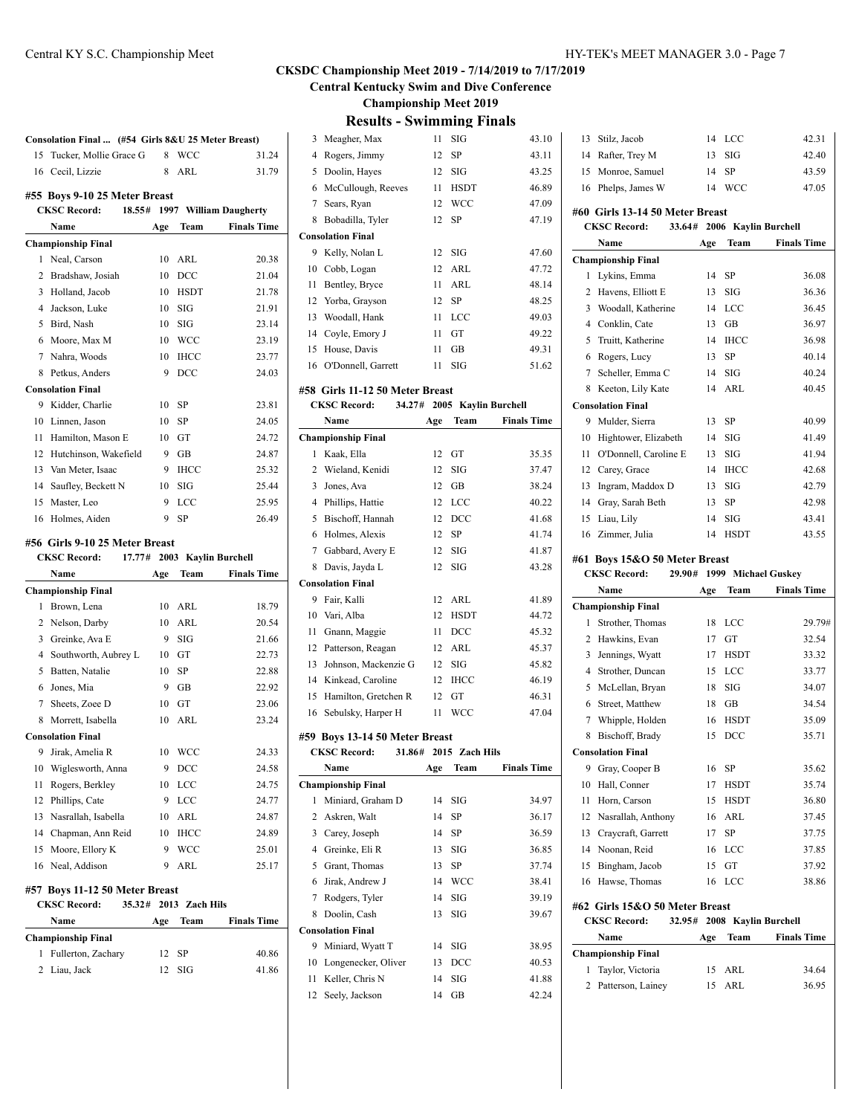**#55 Boys 9-10 25 Meter Breast**

**Consolation Final ... (#54 Girls 8&U 25 Meter Breast)** 15 Tucker, Mollie Grace G 8 WCC 31.24 16 Cecil, Lizzie 8 ARL 31.79

**CKSC Record: 18.55# 1997 William Daugherty**

|  | HY-TEK's MEET MANAGER 3.0 - Page 7 |  |  |
|--|------------------------------------|--|--|
|--|------------------------------------|--|--|

Stilz, Jacob 14 LCC 42.31

#### **CKSDC Championship Meet 2019 - 7/14/2019 to 7/17/2019**

**Central Kentucky Swim and Dive Conference**

**Championship Meet 2019**

| <b>Results - Swimming Finals</b> |  |  |  |  |
|----------------------------------|--|--|--|--|
|----------------------------------|--|--|--|--|

|   | 3 Meagher, Max           | 11 | SIG         | 43.10 |
|---|--------------------------|----|-------------|-------|
| 4 | Rogers, Jimmy            | 12 | SP          | 43.11 |
|   | 5 Doolin, Hayes          | 12 | SIG         | 43.25 |
| 6 | McCullough, Reeves       | 11 | <b>HSDT</b> | 46.89 |
|   | 7 Sears, Ryan            | 12 | <b>WCC</b>  | 47.09 |
| 8 | Bobadilla, Tyler         | 12 | <b>SP</b>   | 47.19 |
|   | <b>Consolation Final</b> |    |             |       |
|   | 9 Kelly, Nolan L         | 12 | SIG         | 47.60 |
|   | 10 Cobb, Logan           | 12 | ARL         | 47.72 |
|   | 11 Bentley, Bryce        | 11 | ARL         | 48.14 |
|   | 12 Yorba, Grayson        | 12 | SP          | 48.25 |
|   | 13 Woodall, Hank         | 11 | LCC         | 49.03 |
|   | 14 Coyle, Emory J        | 11 | GT          | 49.22 |
|   | 15 House, Davis          | 11 | GB          | 49.31 |
|   | 16 O'Donnell, Garrett    | 11 | SIG         | 51.62 |
|   |                          |    |             |       |

#### **#58 Girls 11-12 50 Meter Breast**

|    | <b>CKSC Record:</b>       |     |             | 34.27# 2005 Kaylin Burchell |  |
|----|---------------------------|-----|-------------|-----------------------------|--|
|    | Name                      | Age | Team        | <b>Finals Time</b>          |  |
|    | <b>Championship Final</b> |     |             |                             |  |
| 1  | Kaak, Ella                | 12  | GT          | 35.35                       |  |
| 2  | Wieland, Kenidi           | 12  | SIG         | 37.47                       |  |
| 3  | Jones, Ava                | 12  | GB          | 38.24                       |  |
| 4  | Phillips, Hattie          | 12  | LCC         | 40.22                       |  |
| 5  | Bischoff, Hannah          | 12  | DCC         | 41.68                       |  |
| 6  | Holmes, Alexis            | 12  | <b>SP</b>   | 41.74                       |  |
| 7  | Gabbard, Avery E          | 12  | <b>SIG</b>  | 41.87                       |  |
| 8  | Davis, Jayda L            | 12  | <b>SIG</b>  | 43.28                       |  |
|    | <b>Consolation Final</b>  |     |             |                             |  |
| 9  | Fair, Kalli               | 12  | ARL         | 41.89                       |  |
| 10 | Vari, Alba                | 12  | <b>HSDT</b> | 44.72                       |  |
| 11 | Gnann, Maggie             | 11  | DCC         | 45.32                       |  |
| 12 | Patterson, Reagan         | 12  | ARL         | 45.37                       |  |
| 13 | Johnson, Mackenzie G      | 12  | SIG         | 45.82                       |  |
| 14 | Kinkead, Caroline         | 12  | <b>IHCC</b> | 46.19                       |  |
| 15 | Hamilton, Gretchen R      | 12  | GT          | 46.31                       |  |
| 16 | Sebulsky, Harper H        | 11  | <b>WCC</b>  | 47.04                       |  |

#### **#59 Boys 13-14 50 Meter Breast**

| <b>CKSC Record:</b> |  | 31.86# 2015 Zach Hils |
|---------------------|--|-----------------------|
|                     |  |                       |

|    | Name                      | Age | Team       | <b>Finals Time</b> |
|----|---------------------------|-----|------------|--------------------|
|    | <b>Championship Final</b> |     |            |                    |
| 1  | Miniard, Graham D         | 14  | SIG        | 34.97              |
|    | 2 Askren, Walt            | 14  | SP         | 36.17              |
| 3  | Carey, Joseph             | 14  | SP         | 36.59              |
| 4  | Greinke, Eli R            | 13  | <b>SIG</b> | 36.85              |
| 5  | Grant, Thomas             | 13  | SP         | 37.74              |
| 6  | Jirak, Andrew J           | 14  | <b>WCC</b> | 38.41              |
| 7  | Rodgers, Tyler            | 14  | SIG        | 39.19              |
| 8  | Doolin, Cash              | 13  | SIG        | 39.67              |
|    | <b>Consolation Final</b>  |     |            |                    |
| 9  | Miniard, Wyatt T          | 14  | SIG        | 38.95              |
| 10 | Longenecker, Oliver       | 13  | DCC        | 40.53              |
| 11 | Keller, Chris N           | 14  | SIG        | 41.88              |
|    | 12 Seely, Jackson         | 14  | GB         | 42.24              |

|    | 14 Rafter, Trey M                                                          | 13  | SIG                  | 42.40              |
|----|----------------------------------------------------------------------------|-----|----------------------|--------------------|
| 15 | Monroe, Samuel                                                             | 14  | SP                   | 43.59              |
|    | 16 Phelps, James W                                                         | 14  | <b>WCC</b>           | 47.05              |
|    | #60 Girls 13-14 50 Meter Breast                                            |     |                      |                    |
|    | <b>CKSC Record:</b><br>33.64#                                              |     | 2006 Kaylin Burchell |                    |
|    | Name                                                                       | Age | Team                 | <b>Finals Time</b> |
|    | <b>Championship Final</b>                                                  |     |                      |                    |
| 1  | Lykins, Emma                                                               | 14  | SP                   | 36.08              |
| 2  | Havens, Elliott E                                                          | 13  | SIG                  | 36.36              |
| 3  | Woodall, Katherine                                                         | 14  | LCC                  | 36.45              |
|    | 4 Conklin, Cate                                                            | 13  | GB                   | 36.97              |
| 5  | Truitt, Katherine                                                          | 14  | <b>IHCC</b>          | 36.98              |
| 6  | Rogers, Lucy                                                               | 13  | SP                   | 40.14              |
| 7  | Scheller, Emma C                                                           | 14  | SIG                  | 40.24              |
|    | 8 Keeton, Lily Kate                                                        | 14  | ARL                  | 40.45              |
|    | <b>Consolation Final</b>                                                   |     |                      |                    |
| 9  | Mulder, Sierra                                                             | 13  | SP                   | 40.99              |
|    | 10 Hightower, Elizabeth                                                    | 14  | SIG                  | 41.49              |
| 11 | O'Donnell, Caroline E                                                      | 13  | SIG                  | 41.94              |
|    | 12 Carey, Grace                                                            | 14  | <b>IHCC</b>          | 42.68              |
|    | 13 Ingram, Maddox D                                                        | 13  | SIG                  | 42.79              |
|    | 14 Gray, Sarah Beth                                                        | 13  | SP                   | 42.98              |
|    | 15 Liau, Lily                                                              | 14  | SIG                  | 43.41              |
|    | 16 Zimmer, Julia                                                           | 14  | <b>HSDT</b>          | 43.55              |
|    |                                                                            |     |                      |                    |
|    | #61 Boys 15&O 50 Meter Breast                                              |     |                      |                    |
|    |                                                                            |     |                      |                    |
|    | <b>CKSC Record:</b><br>29.90#                                              |     | 1999 Michael Guskey  |                    |
|    | Name                                                                       | Age | Team                 | <b>Finals Time</b> |
|    | <b>Championship Final</b>                                                  |     |                      |                    |
| 1  | Strother, Thomas                                                           | 18  | LCC                  | 29.79#             |
|    | 2 Hawkins, Evan                                                            | 17  | GT                   | 32.54              |
| 3  | Jennings, Wyatt                                                            | 17  | <b>HSDT</b>          | 33.32              |
| 4  | Strother, Duncan                                                           | 15  | LCC                  | 33.77              |
| 5  | McLellan, Bryan                                                            | 18  | SIG                  | 34.07              |
| 6  | Street, Matthew                                                            | 18  | GB                   | 34.54              |
| 7  | Whipple, Holden                                                            | 16  | <b>HSDT</b>          | 35.09              |
| 8  | Bischoff, Brady                                                            | 15  | DCC                  | 35.71              |
|    | <b>Consolation Final</b>                                                   |     |                      |                    |
| 9  | Gray, Cooper B                                                             | 16  | SP                   | 35.62              |
| 10 | Hall, Conner                                                               | 17  | HSDT                 | 35.74              |
| 11 | Horn, Carson                                                               | 15  | HSDT                 | 36.80              |
| 12 | Nasrallah, Anthony                                                         | 16  | ARL                  | 37.45              |
|    | 13 Craycraft, Garrett                                                      | 17  | SP                   | 37.75              |
|    | 14 Noonan, Reid                                                            | 16  | LCC                  | 37.85              |
| 15 | Bingham, Jacob                                                             | 15  | GT                   | 37.92              |
| 16 | Hawse, Thomas                                                              | 16  | LCC                  | 38.86              |
|    | #62 Girls 15&O 50 Meter Breast<br>CKSC Record: 32.95# 2008 Kaylin Burchell |     |                      |                    |

| Name |                           | Age | Team     | <b>Finals Time</b> |
|------|---------------------------|-----|----------|--------------------|
|      | <b>Championship Final</b> |     |          |                    |
|      | 1 Taylor, Victoria        |     | 15 ARL   | 34.64              |
|      | 2 Patterson, Lainey       |     | $15$ ARL | 36.95              |

# **Name Age Team Finals Time Championship Final** Neal, Carson 10 ARL 20.38 Bradshaw, Josiah 10 DCC 21.04 Holland, Jacob 10 HSDT 21.78 Jackson, Luke 10 SIG 21.91 Bird, Nash 10 SIG 23.14 Moore, Max M 10 WCC 23.19 Nahra, Woods 10 IHCC 23.77 8 Petkus, Anders 9 DCC 24.03 **Consolation Final** Kidder, Charlie 10 SP 23.81 Linnen, Jason 10 SP 24.05

| 11 Hamilton, Mason E     | $10 \quad \text{GT}$ | 24.72 |
|--------------------------|----------------------|-------|
| 12 Hutchinson, Wakefield | $9$ GB               | 24.87 |
| 13 Van Meter, Isaac      | 9 IHCC               | 25.32 |
| 14 Saufley, Beckett N    | $10$ SIG             | 25.44 |
| 15 Master, Leo           | $9$ LCC              | 25.95 |

16 Holmes, Aiden 9 SP 26.49

#### **#56 Girls 9-10 25 Meter Breast**

|    | <b>CKSC Record:</b>            | 17.77# |     |                | 2003 Kaylin Burchell |
|----|--------------------------------|--------|-----|----------------|----------------------|
|    | Name                           |        | Age | Team           | <b>Finals Time</b>   |
|    | <b>Championship Final</b>      |        |     |                |                      |
| 1  | Brown, Lena                    |        | 10  | ARL            | 18.79                |
| 2  | Nelson, Darby                  |        | 10  | ARL            | 20.54                |
| 3  | Greinke, Ava E                 |        | 9   | <b>SIG</b>     | 21.66                |
| 4  | Southworth, Aubrey L           |        | 10  | GT             | 22.73                |
| 5  | Batten, Natalie                |        | 10  | SP             | 22.88                |
| 6  | Jones, Mia                     |        | 9   | <b>GB</b>      | 22.92                |
| 7  | Sheets, Zoee D                 |        | 10  | <b>GT</b>      | 23.06                |
| 8  | Morrett, Isabella              |        | 10  | ARL            | 23.24                |
|    | <b>Consolation Final</b>       |        |     |                |                      |
| 9  | Jirak, Amelia R                |        | 10  | WCC            | 24.33                |
| 10 | Wiglesworth, Anna              |        | 9   | DCC            | 24.58                |
| 11 | Rogers, Berkley                |        | 10  | LCC            | 24.75                |
| 12 | Phillips, Cate                 |        | 9   | LCC            | 24.77                |
| 13 | Nasrallah, Isabella            |        | 10  | ARL            | 24.87                |
| 14 | Chapman, Ann Reid              |        | 10  | <b>IHCC</b>    | 24.89                |
| 15 | Moore, Ellory K                |        | 9   | <b>WCC</b>     | 25.01                |
| 16 | Neal, Addison                  |        | 9   | ARL            | 25.17                |
|    | #57 Boys 11-12 50 Meter Breast |        |     |                |                      |
|    | <b>CKSC Record:</b>            | 35.32# |     | 2013 Zach Hils |                      |
|    | Name                           |        | Age | <b>Team</b>    | <b>Finals Time</b>   |
|    | <b>Championship Final</b>      |        |     |                |                      |

1 Fullerton, Zachary 12 SP 40.86 Liau, Jack 12 SIG 41.86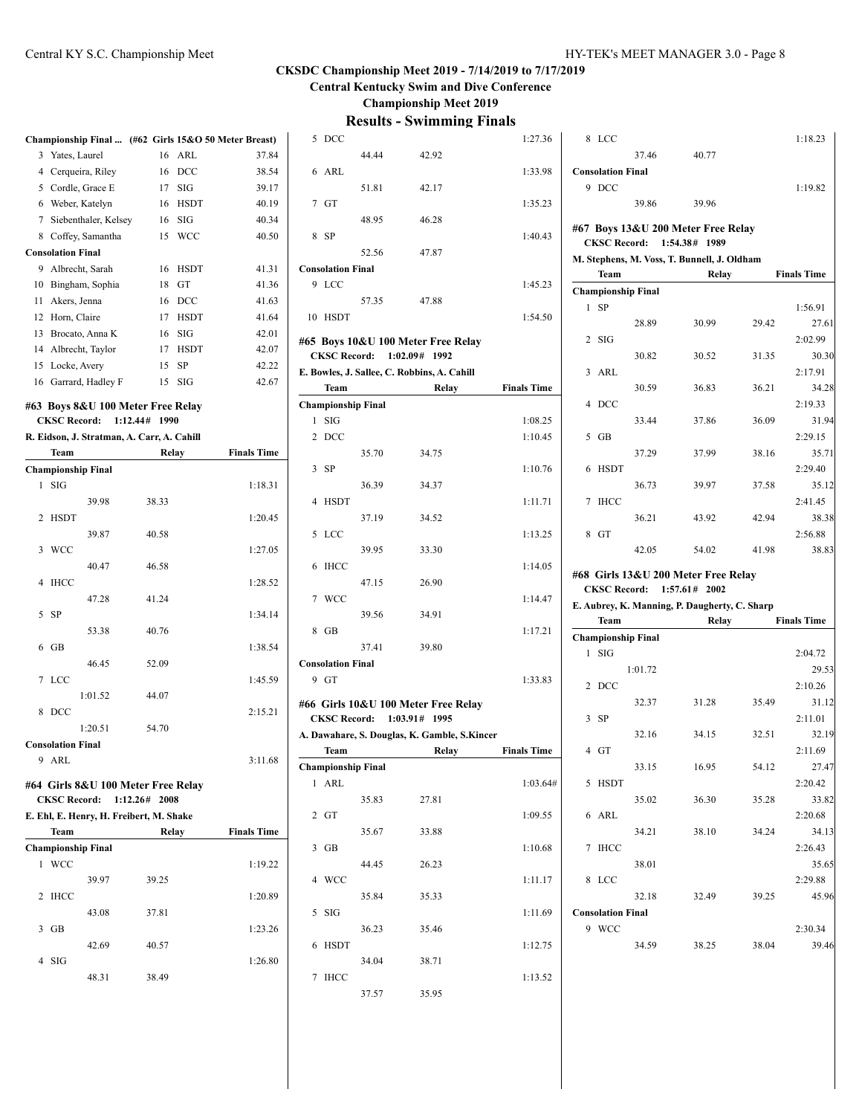**Central Kentucky Swim and Dive Conference**

**Championship Meet 2019**

|                                                                                       |                          |                                   |  |       |             | Championship Final  (#62 Girls 15&O 50 Meter Breast) |
|---------------------------------------------------------------------------------------|--------------------------|-----------------------------------|--|-------|-------------|------------------------------------------------------|
| 3                                                                                     | Yates, Laurel            |                                   |  | 16    | ARL         | 37.84                                                |
|                                                                                       |                          | 4 Cerqueira, Riley                |  | 16    | DCC         | 38.54                                                |
|                                                                                       |                          | 5 Cordle, Grace E                 |  |       | $17$ SIG    | 39.17                                                |
|                                                                                       |                          | 6 Weber, Katelyn                  |  | 16    | <b>HSDT</b> | 40.19                                                |
| 7                                                                                     |                          | Siebenthaler, Kelsey              |  | 16    | SIG         | 40.34                                                |
|                                                                                       |                          | 8 Coffey, Samantha                |  | 15    | <b>WCC</b>  | 40.50                                                |
|                                                                                       | <b>Consolation Final</b> |                                   |  |       |             |                                                      |
|                                                                                       |                          | 9 Albrecht, Sarah                 |  | 16    | <b>HSDT</b> | 41.31                                                |
|                                                                                       |                          | 10 Bingham, Sophia                |  | 18    | GT          | 41.36                                                |
|                                                                                       | 11 Akers, Jenna          |                                   |  | 16    | DCC         | 41.63                                                |
|                                                                                       | 12 Horn, Claire          |                                   |  | 17    | <b>HSDT</b> | 41.64                                                |
|                                                                                       |                          | 13 Brocato, Anna K                |  | 16    | SIG         | 42.01                                                |
|                                                                                       |                          | 14 Albrecht, Taylor               |  | 17    | <b>HSDT</b> | 42.07                                                |
|                                                                                       | 15 Locke, Avery          |                                   |  | 15    | SP          | 42.22                                                |
|                                                                                       |                          | 16 Garrard, Hadley F              |  |       | 15 SIG      | 42.67                                                |
|                                                                                       |                          | #63 Boys 8&U 100 Meter Free Relay |  |       |             |                                                      |
|                                                                                       |                          |                                   |  |       |             |                                                      |
| 1:12.44#<br><b>CKSC Record:</b><br>1990<br>R. Eidson, J. Stratman, A. Carr, A. Cahill |                          |                                   |  |       |             |                                                      |
|                                                                                       | Team                     |                                   |  | Relay |             | <b>Finals Time</b>                                   |
|                                                                                       |                          | <b>Championship Final</b>         |  |       |             |                                                      |
| 1                                                                                     | SIG                      |                                   |  |       |             | 1:18.31                                              |
|                                                                                       |                          | 39.98                             |  | 38.33 |             |                                                      |
| 2                                                                                     | <b>HSDT</b>              |                                   |  |       |             | 1:20.45                                              |
|                                                                                       |                          | 39.87                             |  | 40.58 |             |                                                      |
| 3                                                                                     | <b>WCC</b>               |                                   |  |       |             | 1:27.05                                              |
|                                                                                       |                          | 40.47                             |  | 46.58 |             |                                                      |
| 4                                                                                     | <b>IHCC</b>              |                                   |  |       |             | 1:28.52                                              |
|                                                                                       |                          | 47.28                             |  | 41.24 |             |                                                      |
| 5                                                                                     | <b>SP</b>                |                                   |  |       |             | 1:34.14                                              |
|                                                                                       |                          | 53.38                             |  | 40.76 |             |                                                      |
| 6                                                                                     | GB                       |                                   |  |       |             | 1:38.54                                              |
|                                                                                       |                          | 46.45                             |  | 52.09 |             |                                                      |
| 7                                                                                     | LCC                      |                                   |  |       |             | 1:45.59                                              |
|                                                                                       |                          | 1:01.52                           |  | 44.07 |             |                                                      |
| 8                                                                                     | DCC                      |                                   |  |       |             | 2:15.21                                              |
|                                                                                       |                          | 1:20.51                           |  | 54.70 |             |                                                      |
|                                                                                       | <b>Consolation Final</b> |                                   |  |       |             |                                                      |
|                                                                                       | 9 ARL                    |                                   |  |       |             | 3:11.68                                              |
|                                                                                       |                          |                                   |  |       |             |                                                      |
| #64 Girls 8&U 100 Meter Free Relay                                                    |                          |                                   |  |       |             |                                                      |
| <b>CKSC Record:</b><br>1:12.26# 2008<br>E. Ehl, E. Henry, H. Freibert, M. Shake       |                          |                                   |  |       |             |                                                      |
|                                                                                       |                          |                                   |  |       |             |                                                      |
|                                                                                       | Team                     |                                   |  | Relay |             | <b>Finals Time</b>                                   |
|                                                                                       | <b>WCC</b>               | <b>Championship Final</b>         |  |       |             |                                                      |
| 1                                                                                     |                          |                                   |  |       |             | 1:19.22                                              |
|                                                                                       |                          | 39.97                             |  | 39.25 |             |                                                      |
| 2                                                                                     | <b>IHCC</b>              |                                   |  |       |             | 1:20.89                                              |
|                                                                                       |                          | 43.08                             |  | 37.81 |             |                                                      |
| 3                                                                                     | GB                       |                                   |  |       |             | 1:23.26                                              |
|                                                                                       |                          | 42.69                             |  | 40.57 |             |                                                      |
| 4                                                                                     | SIG                      |                                   |  |       |             | 1:26.80                                              |
|                                                                                       |                          | 48.31                             |  | 38.49 |             |                                                      |

| 5              | DCC                       |       |                                              | 1:27.36            |
|----------------|---------------------------|-------|----------------------------------------------|--------------------|
|                |                           | 44.44 | 42.92                                        |                    |
|                | $6$ ARL                   |       |                                              | 1:33.98            |
|                |                           | 51.81 | 42.17                                        |                    |
|                | $7$ GT                    |       |                                              | 1:35.23            |
|                |                           |       |                                              |                    |
|                |                           | 48.95 | 46.28                                        |                    |
| 8              | <b>SP</b>                 |       |                                              | 1:40.43            |
|                |                           | 52.56 | 47.87                                        |                    |
|                | <b>Consolation Final</b>  |       |                                              |                    |
| 9              | <b>LCC</b>                |       |                                              | 1:45.23            |
|                |                           | 57.35 | 47.88                                        |                    |
| 10             | <b>HSDT</b>               |       |                                              | 1:54.50            |
|                |                           |       |                                              |                    |
|                |                           |       | #65 Boys 10&U 100 Meter Free Relay           |                    |
|                | <b>CKSC Record:</b>       |       | 1:02.09# 1992                                |                    |
|                |                           |       | E. Bowles, J. Sallee, C. Robbins, A. Cahill  |                    |
|                | Team                      |       | Relay                                        | <b>Finals Time</b> |
|                | <b>Championship Final</b> |       |                                              |                    |
| 1              | SIG                       |       |                                              | 1:08.25            |
| $\overline{2}$ | DCC                       |       |                                              | 1:10.45            |
|                |                           | 35.70 | 34.75                                        |                    |
| 3              | -SP                       |       |                                              | 1:10.76            |
|                |                           | 36.39 | 34.37                                        |                    |
| 4              | <b>HSDT</b>               |       |                                              | 1:11.71            |
|                |                           | 37.19 | 34.52                                        |                    |
| 5              | LCC                       |       |                                              | 1:13.25            |
|                |                           |       |                                              |                    |
|                |                           | 39.95 | 33.30                                        |                    |
| 6              | IHCC                      |       |                                              | 1:14.05            |
|                |                           | 47.15 | 26.90                                        |                    |
| $7^{\circ}$    | <b>WCC</b>                |       |                                              | 1:14.47            |
|                |                           | 39.56 | 34.91                                        |                    |
| 8              | GB                        |       |                                              | 1:17.21            |
|                |                           | 37.41 | 39.80                                        |                    |
|                | <b>Consolation Final</b>  |       |                                              |                    |
|                | 9 GT                      |       |                                              | 1:33.83            |
|                |                           |       |                                              |                    |
|                |                           |       | #66  Girls 10&U 100 Meter Free Relay         |                    |
|                | <b>CKSC Record:</b>       |       | 1:03.91# 1995                                |                    |
|                |                           |       | A. Dawahare, S. Douglas, K. Gamble, S.Kincer |                    |
|                | Team                      |       | Relay                                        | <b>Finals Time</b> |
|                | <b>Championship Final</b> |       |                                              |                    |
| 1              | <b>ARL</b>                |       |                                              | 1:03.64#           |
|                |                           | 35.83 | 27.81                                        |                    |
| 2              | GT                        |       |                                              | 1:09.55            |
|                |                           | 35.67 | 33.88                                        |                    |
| 3              | GB                        |       |                                              | 1:10.68            |
|                |                           | 44.45 | 26.23                                        |                    |
| 4              | WCC                       |       |                                              | 1:11.17            |
|                |                           | 35.84 | 35.33                                        |                    |
|                |                           |       |                                              |                    |
| 5              | SIG                       |       |                                              | 1:11.69            |
|                |                           | 36.23 | 35.46                                        |                    |
| 6              | <b>HSDT</b>               |       |                                              | 1:12.75            |
|                |                           | 34.04 | 38.71                                        |                    |
|                |                           |       |                                              |                    |
| 7              | <b>IHCC</b>               |       | 35.95                                        | 1:13.52            |

|   | 8 LCC                                   |                              |                                                        |       | 1:18.23            |
|---|-----------------------------------------|------------------------------|--------------------------------------------------------|-------|--------------------|
|   |                                         | 37.46                        | 40.77                                                  |       |                    |
|   | <b>Consolation Final</b>                |                              |                                                        |       |                    |
|   | 9 DCC                                   |                              |                                                        |       | 1:19.82            |
|   |                                         | 39.86                        | 39.96                                                  |       |                    |
|   |                                         |                              | #67 Boys 13&U 200 Meter Free Relay                     |       |                    |
|   |                                         | <b>CKSC Record:</b> 1:54.38# | 1989                                                   |       |                    |
|   |                                         |                              | M. Stephens, M. Voss, T. Bunnell, J. Oldham            |       |                    |
|   | <b>Team</b>                             |                              | Relay                                                  |       | <b>Finals Time</b> |
|   | <b>Championship Final</b>               |                              |                                                        |       |                    |
| 1 | SP                                      |                              |                                                        |       | 1:56.91            |
|   |                                         | 28.89                        | 30.99                                                  | 29.42 | 27.61              |
| 2 | SIG                                     |                              |                                                        |       | 2:02.99            |
|   |                                         | 30.82                        | 30.52                                                  | 31.35 | 30.30              |
| 3 | ARL                                     |                              |                                                        |       | 2:17.91            |
|   |                                         | 30.59                        | 36.83                                                  | 36.21 | 34.28              |
| 4 | <b>DCC</b>                              |                              |                                                        |       | 2:19.33            |
|   |                                         | 33.44                        | 37.86                                                  | 36.09 | 31.94              |
| 5 | GB                                      |                              |                                                        |       | 2:29.15            |
|   |                                         | 37.29                        | 37.99                                                  | 38.16 | 35.71              |
| 6 | <b>HSDT</b>                             |                              |                                                        |       | 2:29.40            |
|   |                                         | 36.73                        | 39.97                                                  | 37.58 | 35.12              |
| 7 | IHCC                                    |                              |                                                        |       | 2:41.45            |
|   |                                         | 36.21                        | 43.92                                                  | 42.94 | 38.38              |
|   | 8 GT                                    |                              |                                                        |       | 2:56.88            |
|   |                                         | 42.05                        | 54.02                                                  | 41.98 | 38.83              |
|   |                                         |                              | #68 Girls 13&U 200 Meter Free Relay                    |       |                    |
|   |                                         |                              | CKSC Record: 1:57.61# 2002                             |       |                    |
|   |                                         |                              |                                                        |       |                    |
|   |                                         |                              |                                                        |       |                    |
|   | Team                                    |                              | E. Aubrey, K. Manning, P. Daugherty, C. Sharp<br>Relay |       | <b>Finals Time</b> |
|   |                                         |                              |                                                        |       |                    |
| 1 | <b>Championship Final</b><br><b>SIG</b> |                              |                                                        |       | 2:04.72            |
|   |                                         | 1:01.72                      |                                                        |       | 29.53              |
|   | 2 DCC                                   |                              |                                                        |       | 2:10.26            |
|   |                                         | 32.37                        | 31.28                                                  | 35.49 | 31.12              |
| 3 |                                         |                              |                                                        |       | 2:11.01            |
|   | SP                                      |                              |                                                        |       |                    |
|   |                                         | 32.16                        | 34.15                                                  | 32.51 | 32.19              |
|   | 4 GT                                    |                              |                                                        |       | 2:11.69            |
|   |                                         | 33.15                        | 16.95                                                  | 54.12 | 27.47              |
|   | 5 HSDT                                  |                              |                                                        |       | 2:20.42            |
|   |                                         | 35.02                        | 36.30                                                  | 35.28 | 33.82              |
|   | 6 ARL                                   |                              |                                                        |       | 2:20.68            |
|   |                                         | 34.21                        | 38.10                                                  | 34.24 | 34.13              |
| 7 | IHCC                                    |                              |                                                        |       | 2:26.43            |
|   |                                         | 38.01                        |                                                        |       | 35.65              |
| 8 | <b>LCC</b>                              |                              |                                                        |       | 2:29.88            |
|   |                                         | 32.18                        | 32.49                                                  | 39.25 | 45.96              |
|   | <b>Consolation Final</b>                |                              |                                                        |       |                    |
|   | 9 WCC                                   |                              |                                                        |       | 2:30.34            |
|   |                                         | 34.59                        | 38.25                                                  | 38.04 | 39.46              |